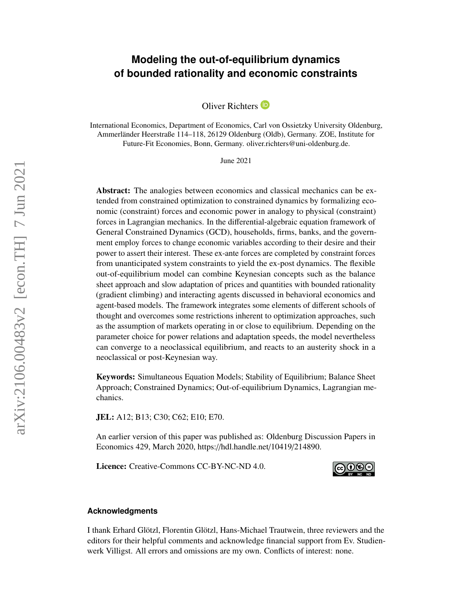# **Modeling the out-of-equilibrium dynamics of bounded rationality and economic constraints**

Oliver Richters<sup>D</sup>

International Economics, Department of Economics, Carl von Ossietzky University Oldenburg, Ammerländer Heerstraße 114–118, 26129 Oldenburg (Oldb), Germany. ZOE, Institute for Future-Fit Economies, Bonn, Germany. oliver.richters@uni-oldenburg.de.

June 2021

Abstract: The analogies between economics and classical mechanics can be extended from constrained optimization to constrained dynamics by formalizing economic (constraint) forces and economic power in analogy to physical (constraint) forces in Lagrangian mechanics. In the differential-algebraic equation framework of General Constrained Dynamics (GCD), households, firms, banks, and the government employ forces to change economic variables according to their desire and their power to assert their interest. These ex-ante forces are completed by constraint forces from unanticipated system constraints to yield the ex-post dynamics. The flexible out-of-equilibrium model can combine Keynesian concepts such as the balance sheet approach and slow adaptation of prices and quantities with bounded rationality (gradient climbing) and interacting agents discussed in behavioral economics and agent-based models. The framework integrates some elements of different schools of thought and overcomes some restrictions inherent to optimization approaches, such as the assumption of markets operating in or close to equilibrium. Depending on the parameter choice for power relations and adaptation speeds, the model nevertheless can converge to a neoclassical equilibrium, and reacts to an austerity shock in a neoclassical or post-Keynesian way.

Keywords: Simultaneous Equation Models; Stability of Equilibrium; Balance Sheet Approach; Constrained Dynamics; Out-of-equilibrium Dynamics, Lagrangian mechanics.

JEL: A12; B13; C30; C62; E10; E70.

An earlier version of this paper was published as: Oldenburg Discussion Papers in Economics 429, March 2020, https://[hdl.handle.net](https://hdl.handle.net/10419/214890)/10419/214890.

Licence: Creative-Commons [CC-BY-NC-ND 4.0.](http://creativecommons.org/licenses/by-nc-nd/4.0/)



## **Acknowledgments**

I thank Erhard Glötzl, Florentin Glötzl, Hans-Michael Trautwein, three reviewers and the editors for their helpful comments and acknowledge financial support from Ev. Studienwerk Villigst. All errors and omissions are my own. Conflicts of interest: none.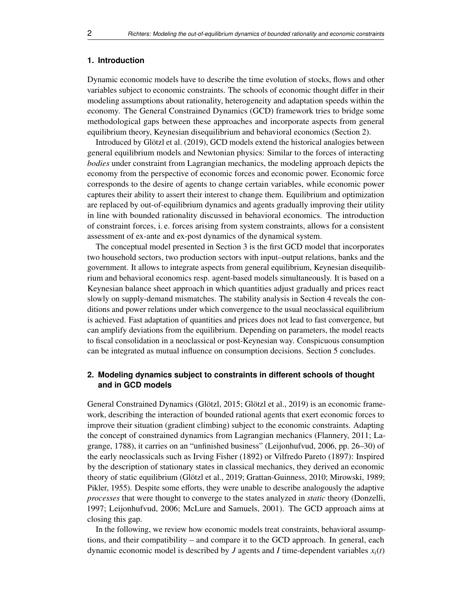#### **1. Introduction**

Dynamic economic models have to describe the time evolution of stocks, flows and other variables subject to economic constraints. The schools of economic thought differ in their modeling assumptions about rationality, heterogeneity and adaptation speeds within the economy. The General Constrained Dynamics (GCD) framework tries to bridge some methodological gaps between these approaches and incorporate aspects from general equilibrium theory, Keynesian disequilibrium and behavioral economics (Section [2\)](#page-1-0).

Introduced by Glötzl et al. [\(2019\)](#page-29-0), GCD models extend the historical analogies between general equilibrium models and Newtonian physics: Similar to the forces of interacting *bodies* under constraint from Lagrangian mechanics, the modeling approach depicts the economy from the perspective of economic forces and economic power. Economic force corresponds to the desire of agents to change certain variables, while economic power captures their ability to assert their interest to change them. Equilibrium and optimization are replaced by out-of-equilibrium dynamics and agents gradually improving their utility in line with bounded rationality discussed in behavioral economics. The introduction of constraint forces, i. e. forces arising from system constraints, allows for a consistent assessment of ex-ante and ex-post dynamics of the dynamical system.

The conceptual model presented in Section [3](#page-5-0) is the first GCD model that incorporates two household sectors, two production sectors with input–output relations, banks and the government. It allows to integrate aspects from general equilibrium, Keynesian disequilibrium and behavioral economics resp. agent-based models simultaneously. It is based on a Keynesian balance sheet approach in which quantities adjust gradually and prices react slowly on supply-demand mismatches. The stability analysis in Section [4](#page-16-0) reveals the conditions and power relations under which convergence to the usual neoclassical equilibrium is achieved. Fast adaptation of quantities and prices does not lead to fast convergence, but can amplify deviations from the equilibrium. Depending on parameters, the model reacts to fiscal consolidation in a neoclassical or post-Keynesian way. Conspicuous consumption can be integrated as mutual influence on consumption decisions. Section [5](#page-26-0) concludes.

## <span id="page-1-0"></span>**2. Modeling dynamics subject to constraints in different schools of thought and in GCD models**

General Constrained Dynamics (Glötzl, [2015;](#page-29-1) Glötzl et al., [2019\)](#page-29-0) is an economic framework, describing the interaction of bounded rational agents that exert economic forces to improve their situation (gradient climbing) subject to the economic constraints. Adapting the concept of constrained dynamics from Lagrangian mechanics (Flannery, [2011;](#page-28-0) Lagrange, [1788\)](#page-29-2), it carries on an "unfinished business" (Leijonhufvud, [2006,](#page-29-3) pp. 26–30) of the early neoclassicals such as Irving Fisher (1892) or Vilfredo Pareto (1897): Inspired by the description of stationary states in classical mechanics, they derived an economic theory of static equilibrium (Glötzl et al., [2019;](#page-29-0) Grattan-Guinness, [2010;](#page-29-4) Mirowski, [1989;](#page-30-0) Pikler, [1955\)](#page-30-1). Despite some efforts, they were unable to describe analogously the adaptive *processes* that were thought to converge to the states analyzed in *static* theory (Donzelli, [1997;](#page-28-1) Leijonhufvud, [2006;](#page-29-3) McLure and Samuels, [2001\)](#page-29-5). The GCD approach aims at closing this gap.

In the following, we review how economic models treat constraints, behavioral assumptions, and their compatibility – and compare it to the GCD approach. In general, each dynamic economic model is described by *J* agents and *I* time-dependent variables  $x_i(t)$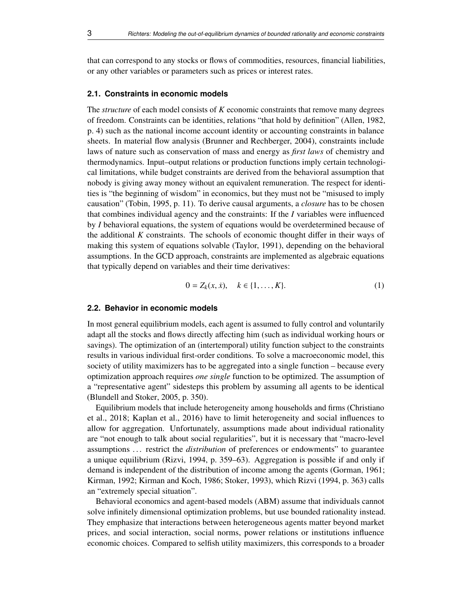that can correspond to any stocks or flows of commodities, resources, financial liabilities, or any other variables or parameters such as prices or interest rates.

## **2.1. Constraints in economic models**

The *structure* of each model consists of *K* economic constraints that remove many degrees of freedom. Constraints can be identities, relations "that hold by definition" (Allen, [1982,](#page-28-2) p. 4) such as the national income account identity or accounting constraints in balance sheets. In material flow analysis (Brunner and Rechberger, [2004\)](#page-28-3), constraints include laws of nature such as conservation of mass and energy as *first laws* of chemistry and thermodynamics. Input–output relations or production functions imply certain technological limitations, while budget constraints are derived from the behavioral assumption that nobody is giving away money without an equivalent remuneration. The respect for identities is "the beginning of wisdom" in economics, but they must not be "misused to imply causation" (Tobin, [1995,](#page-30-2) p. 11). To derive causal arguments, a *closure* has to be chosen that combines individual agency and the constraints: If the *I* variables were influenced by *I* behavioral equations, the system of equations would be overdetermined because of the additional *K* constraints. The schools of economic thought differ in their ways of making this system of equations solvable (Taylor, [1991\)](#page-30-3), depending on the behavioral assumptions. In the GCD approach, constraints are implemented as algebraic equations that typically depend on variables and their time derivatives:

$$
0 = Z_k(x, \dot{x}), \quad k \in \{1, \dots, K\}.
$$
 (1)

## **2.2. Behavior in economic models**

In most general equilibrium models, each agent is assumed to fully control and voluntarily adapt all the stocks and flows directly affecting him (such as individual working hours or savings). The optimization of an (intertemporal) utility function subject to the constraints results in various individual first-order conditions. To solve a macroeconomic model, this society of utility maximizers has to be aggregated into a single function – because every optimization approach requires *one single* function to be optimized. The assumption of a "representative agent" sidesteps this problem by assuming all agents to be identical (Blundell and Stoker, [2005,](#page-28-4) p. 350).

Equilibrium models that include heterogeneity among households and firms (Christiano et al., [2018;](#page-28-5) Kaplan et al., [2016\)](#page-29-6) have to limit heterogeneity and social influences to allow for aggregation. Unfortunately, assumptions made about individual rationality are "not enough to talk about social regularities", but it is necessary that "macro-level assumptions . . . restrict the *distribution* of preferences or endowments" to guarantee a unique equilibrium (Rizvi, [1994,](#page-30-4) p. 359–63). Aggregation is possible if and only if demand is independent of the distribution of income among the agents (Gorman, [1961;](#page-29-7) Kirman, [1992;](#page-29-8) Kirman and Koch, [1986;](#page-29-9) Stoker, [1993\)](#page-30-5), which Rizvi [\(1994,](#page-30-4) p. 363) calls an "extremely special situation".

Behavioral economics and agent-based models (ABM) assume that individuals cannot solve infinitely dimensional optimization problems, but use bounded rationality instead. They emphasize that interactions between heterogeneous agents matter beyond market prices, and social interaction, social norms, power relations or institutions influence economic choices. Compared to selfish utility maximizers, this corresponds to a broader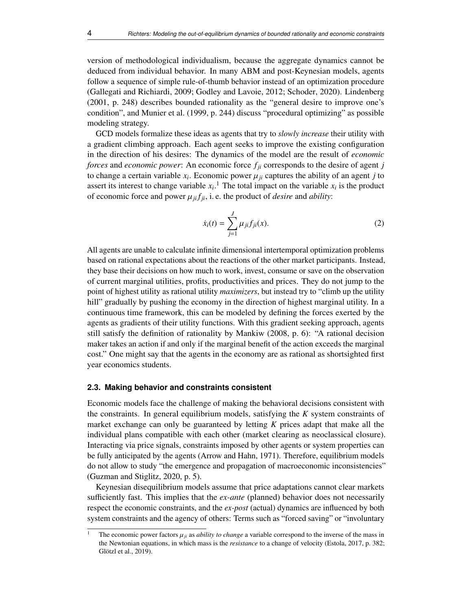version of methodological individualism, because the aggregate dynamics cannot be deduced from individual behavior. In many ABM and post-Keynesian models, agents follow a sequence of simple rule-of-thumb behavior instead of an optimization procedure (Gallegati and Richiardi, [2009;](#page-28-6) Godley and Lavoie, [2012;](#page-29-10) Schoder, [2020\)](#page-30-6). Lindenberg [\(2001,](#page-29-11) p. 248) describes bounded rationality as the "general desire to improve one's condition", and Munier et al. [\(1999,](#page-30-7) p. 244) discuss "procedural optimizing" as possible modeling strategy.

GCD models formalize these ideas as agents that try to *slowly increase* their utility with a gradient climbing approach. Each agent seeks to improve the existing configuration in the direction of his desires: The dynamics of the model are the result of *economic forces* and *economic power*: An economic force *fji* corresponds to the desire of agent *j* to change a certain variable  $x_i$ . Economic power  $\mu_{ji}$  captures the ability of an agent *j* to assert its interest to change variable  $x_i$ <sup>1</sup>. The total impact on the variable  $x_i$  is the product assert its interest to change variable  $x_i$ .<sup>[1](#page-3-0)</sup> The total impact on the variable  $x_i$  is the product of economic force and power  $\mu_{ji} f_{ji}$ , i.e. the product of *desire* and *ability*:

$$
\dot{x}_i(t) = \sum_{j=1}^{J} \mu_{ji} f_{ji}(x).
$$
 (2)

All agents are unable to calculate infinite dimensional intertemporal optimization problems based on rational expectations about the reactions of the other market participants. Instead, they base their decisions on how much to work, invest, consume or save on the observation of current marginal utilities, profits, productivities and prices. They do not jump to the point of highest utility as rational utility *maximizers*, but instead try to "climb up the utility hill" gradually by pushing the economy in the direction of highest marginal utility. In a continuous time framework, this can be modeled by defining the forces exerted by the agents as gradients of their utility functions. With this gradient seeking approach, agents still satisfy the definition of rationality by Mankiw [\(2008,](#page-29-12) p. 6): "A rational decision maker takes an action if and only if the marginal benefit of the action exceeds the marginal cost." One might say that the agents in the economy are as rational as shortsighted first year economics students.

#### **2.3. Making behavior and constraints consistent**

Economic models face the challenge of making the behavioral decisions consistent with the constraints. In general equilibrium models, satisfying the *K* system constraints of market exchange can only be guaranteed by letting *K* prices adapt that make all the individual plans compatible with each other (market clearing as neoclassical closure). Interacting via price signals, constraints imposed by other agents or system properties can be fully anticipated by the agents (Arrow and Hahn, [1971\)](#page-28-7). Therefore, equilibrium models do not allow to study "the emergence and propagation of macroeconomic inconsistencies" (Guzman and Stiglitz, [2020,](#page-29-13) p. 5).

Keynesian disequilibrium models assume that price adaptations cannot clear markets sufficiently fast. This implies that the *ex-ante* (planned) behavior does not necessarily respect the economic constraints, and the *ex-post* (actual) dynamics are influenced by both system constraints and the agency of others: Terms such as "forced saving" or "involuntary

<span id="page-3-0"></span>The economic power factors  $\mu_{ji}$  as *ability to change* a variable correspond to the inverse of the mass in the Newtonian equations, in which mass is the *resistance* to a change of velocity (Estola, [2017,](#page-28-8) p. 382; Glötzl et al., [2019\)](#page-29-0).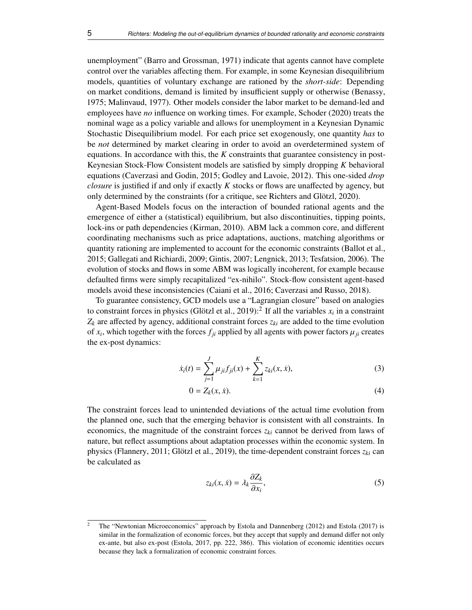unemployment" (Barro and Grossman, [1971\)](#page-28-9) indicate that agents cannot have complete control over the variables affecting them. For example, in some Keynesian disequilibrium models, quantities of voluntary exchange are rationed by the *short-side*: Depending on market conditions, demand is limited by insufficient supply or otherwise (Benassy, [1975;](#page-28-10) Malinvaud, [1977\)](#page-29-14). Other models consider the labor market to be demand-led and employees have *no* influence on working times. For example, Schoder [\(2020\)](#page-30-6) treats the nominal wage as a policy variable and allows for unemployment in a Keynesian Dynamic Stochastic Disequilibrium model. For each price set exogenously, one quantity *has* to be *not* determined by market clearing in order to avoid an overdetermined system of equations. In accordance with this, the *K* constraints that guarantee consistency in post-Keynesian Stock-Flow Consistent models are satisfied by simply dropping *K* behavioral equations (Caverzasi and Godin, [2015;](#page-28-11) Godley and Lavoie, [2012\)](#page-29-10). This one-sided *drop closure* is justified if and only if exactly *K* stocks or flows are unaffected by agency, but only determined by the constraints (for a critique, see Richters and Glötzl, [2020\)](#page-30-8).

Agent-Based Models focus on the interaction of bounded rational agents and the emergence of either a (statistical) equilibrium, but also discontinuities, tipping points, lock-ins or path dependencies (Kirman, [2010\)](#page-29-15). ABM lack a common core, and different coordinating mechanisms such as price adaptations, auctions, matching algorithms or quantity rationing are implemented to account for the economic constraints (Ballot et al., [2015;](#page-28-12) Gallegati and Richiardi, [2009;](#page-28-6) Gintis, [2007;](#page-29-16) Lengnick, [2013;](#page-29-17) Tesfatsion, [2006\)](#page-30-9). The evolution of stocks and flows in some ABM was logically incoherent, for example because defaulted firms were simply recapitalized "ex-nihilo". Stock-flow consistent agent-based models avoid these inconsistencies (Caiani et al., [2016;](#page-28-13) Caverzasi and Russo, [2018\)](#page-28-14).

To guarantee consistency, GCD models use a "Lagrangian closure" based on analogies to constraint forces in physics (Glötzl et al., [2019\)](#page-29-0):<sup>[2](#page-4-0)</sup> If all the variables  $x_i$  in a constraint  $Z_k$  are affected by agency, additional constraint forces  $z_{ki}$  are added to the time evolution of  $x_i$ , which together with the forces  $f_{ji}$  applied by all agents with power factors  $\mu_{ji}$  creates the ex-nost dynamics: the ex-post dynamics:

$$
\dot{x}_i(t) = \sum_{j=1}^J \mu_{ji} f_{ji}(x) + \sum_{k=1}^K z_{ki}(x, \dot{x}), \tag{3}
$$

<span id="page-4-2"></span>
$$
0 = Z_k(x, \dot{x}). \tag{4}
$$

The constraint forces lead to unintended deviations of the actual time evolution from the planned one, such that the emerging behavior is consistent with all constraints. In economics, the magnitude of the constraint forces *zki* cannot be derived from laws of nature, but reflect assumptions about adaptation processes within the economic system. In physics (Flannery, [2011;](#page-28-0) Glötzl et al., [2019\)](#page-29-0), the time-dependent constraint forces  $z_{ki}$  can be calculated as

<span id="page-4-1"></span>
$$
z_{ki}(x,\dot{x}) = \lambda_k \frac{\partial Z_k}{\partial x_i},\tag{5}
$$

<span id="page-4-0"></span><sup>2</sup> The "Newtonian Microeconomics" approach by Estola and Dannenberg [\(2012\)](#page-28-15) and Estola [\(2017\)](#page-28-8) is similar in the formalization of economic forces, but they accept that supply and demand differ not only ex-ante, but also ex-post (Estola, [2017,](#page-28-8) pp. 222, 386). This violation of economic identities occurs because they lack a formalization of economic constraint forces.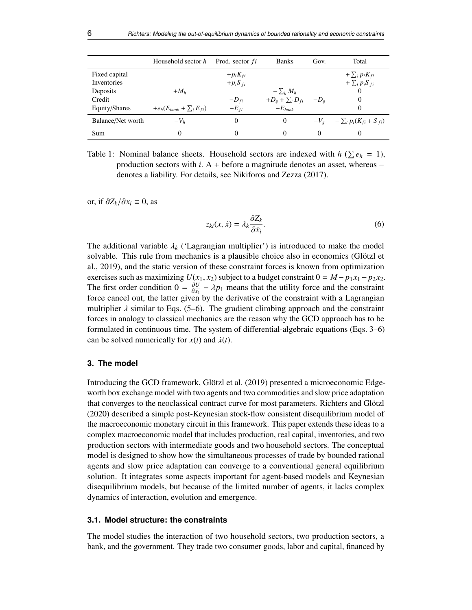|                    | Household sector h               | Prod. sector <i>fi</i> | <b>Banks</b>           | Gov.   | Total                                 |
|--------------------|----------------------------------|------------------------|------------------------|--------|---------------------------------------|
| Fixed capital      |                                  | $+p_i K_{fi}$          |                        |        | $+\sum_i p_i K_{fi}$                  |
| <b>Inventories</b> |                                  | $+p_iS_{fi}$           |                        |        | $+ \sum_i p_i S_{fi}$                 |
| Deposits           | $+M_h$                           |                        | $-\sum_h M_h$          |        | 0                                     |
| Credit             |                                  | $-D_{fi}$              | $+D_g + \sum_i D_{fi}$ | $-Do$  | $\Omega$                              |
| Equity/Shares      | $+e_h(E_{bank} + \sum_i E_{fi})$ | $-E_{fi}$              | $-E_{bank}$            |        | $\Omega$                              |
| Balance/Net worth  | $-Vb$                            | $_{0}$                 | $\Omega$               |        | $-V_g$ $-\sum_i p_i(K_{fi} + S_{fi})$ |
| Sum                | 0                                | $_{0}$                 | 0                      | $_{0}$ |                                       |

<span id="page-5-2"></span>Table 1: Nominal balance sheets. Household sectors are indexed with  $h$  ( $\sum e_h = 1$ ), production sectors with *i*. A + before a magnitude denotes an asset, whereas − denotes a liability. For details, see Nikiforos and Zezza [\(2017\)](#page-30-10).

or, if  $\partial Z_k / \partial x_i$  ≡ 0, as

<span id="page-5-1"></span>
$$
z_{ki}(x,\dot{x}) = \lambda_k \frac{\partial Z_k}{\partial \dot{x}_i}.
$$
 (6)

The additional variable  $\lambda_k$  ('Lagrangian multiplier') is introduced to make the model solvable. This rule from mechanics is a plausible choice also in economics (Glötzl et al., [2019\)](#page-29-0), and the static version of these constraint forces is known from optimization exercises such as maximizing  $U(x_1, x_2)$  subject to a budget constraint  $0 = M - p_1x_1 - p_2x_2$ . The first order condition  $0 = \frac{\partial U}{\partial x_1} - \lambda p_1$  means that the utility force and the constraint<br>force cancel out, the latter given by the derivative of the constraint with a Lagrangian Fire first order condition  $\sigma = \frac{\partial x_1}{\partial x_1} - \lambda p_1$  means that the durity force and the constraint<br>force cancel out, the latter given by the derivative of the constraint with a Lagrangian multiplier  $\lambda$  similar to Eqs. [\(5–](#page-4-1)[6\)](#page-5-1). The gradient climbing approach and the constraint forces in analogy to classical mechanics are the reason why the GCD approach has to be formulated in continuous time. The system of differential-algebraic equations (Eqs. [3](#page-4-2)[–6\)](#page-5-1) can be solved numerically for  $x(t)$  and  $\dot{x}(t)$ .

## <span id="page-5-0"></span>**3. The model**

Introducing the GCD framework, Glötzl et al. [\(2019\)](#page-29-0) presented a microeconomic Edgeworth box exchange model with two agents and two commodities and slow price adaptation that converges to the neoclassical contract curve for most parameters. Richters and Glötzl [\(2020\)](#page-30-8) described a simple post-Keynesian stock-flow consistent disequilibrium model of the macroeconomic monetary circuit in this framework. This paper extends these ideas to a complex macroeconomic model that includes production, real capital, inventories, and two production sectors with intermediate goods and two household sectors. The conceptual model is designed to show how the simultaneous processes of trade by bounded rational agents and slow price adaptation can converge to a conventional general equilibrium solution. It integrates some aspects important for agent-based models and Keynesian disequilibrium models, but because of the limited number of agents, it lacks complex dynamics of interaction, evolution and emergence.

## **3.1. Model structure: the constraints**

The model studies the interaction of two household sectors, two production sectors, a bank, and the government. They trade two consumer goods, labor and capital, financed by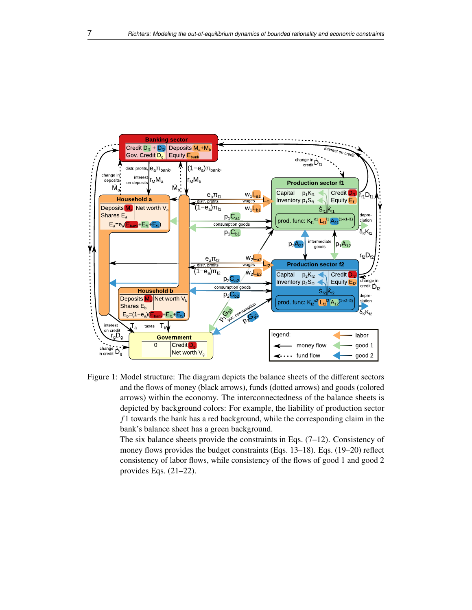

<span id="page-6-0"></span>Figure 1: Model structure: The diagram depicts the balance sheets of the different sectors and the flows of money (black arrows), funds (dotted arrows) and goods (colored arrows) within the economy. The interconnectedness of the balance sheets is depicted by background colors: For example, the liability of production sector *f* 1 towards the bank has a red background, while the corresponding claim in the bank's balance sheet has a green background.

> The six balance sheets provide the constraints in Eqs. [\(7](#page-7-0)[–12\)](#page-7-1). Consistency of money flows provides the budget constraints (Eqs. [13](#page-9-0)[–18\)](#page-9-1). Eqs. [\(19](#page-9-2)[–20\)](#page-9-3) reflect consistency of labor flows, while consistency of the flows of good 1 and good 2 provides Eqs. [\(21](#page-10-0)[–22\)](#page-10-1).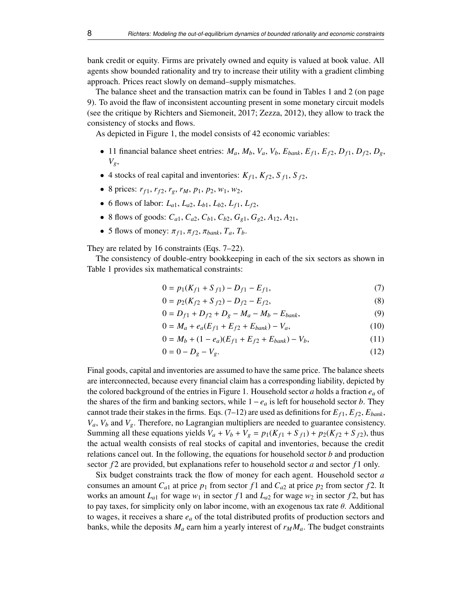bank credit or equity. Firms are privately owned and equity is valued at book value. All agents show bounded rationality and try to increase their utility with a gradient climbing approach. Prices react slowly on demand–supply mismatches.

The balance sheet and the transaction matrix can be found in Tables [1](#page-5-2) and [2](#page-8-0) (on page [9\)](#page-8-0). To avoid the flaw of inconsistent accounting present in some monetary circuit models (see the critique by Richters and Siemoneit, [2017;](#page-30-11) Zezza, [2012\)](#page-30-12), they allow to track the consistency of stocks and flows.

As depicted in Figure [1,](#page-6-0) the model consists of 42 economic variables:

- 11 financial balance sheet entries:  $M_a$ ,  $M_b$ ,  $V_a$ ,  $V_b$ ,  $E_{bank}$ ,  $E_{f1}$ ,  $E_{f2}$ ,  $D_{f1}$ ,  $D_{f2}$ ,  $D_g$ , *Vg*,
- 4 stocks of real capital and inventories:  $K_{f1}$ ,  $K_{f2}$ ,  $S_{f1}$ ,  $S_{f2}$ ,
- 8 prices:  $r_{f1}$ ,  $r_{f2}$ ,  $r_g$ ,  $r_M$ ,  $p_1$ ,  $p_2$ ,  $w_1$ ,  $w_2$ ,
- 6 flows of labor:  $L_{a1}$ ,  $L_{a2}$ ,  $L_{b1}$ ,  $L_{b2}$ ,  $L_{f1}$ ,  $L_{f2}$ ,
- 8 flows of goods:  $C_{a1}$ ,  $C_{a2}$ ,  $C_{b1}$ ,  $C_{b2}$ ,  $G_{e1}$ ,  $G_{e2}$ ,  $A_{12}$ ,  $A_{21}$ ,
- 5 flows of money:  $\pi_{f1}, \pi_{f2}, \pi_{bank}, T_a, T_b$ .

They are related by 16 constraints (Eqs. [7–](#page-7-0)[22\)](#page-10-1).

The consistency of double-entry bookkeeping in each of the six sectors as shown in Table [1](#page-5-2) provides six mathematical constraints:

<span id="page-7-0"></span>
$$
0 = p_1(K_{f1} + S_{f1}) - D_{f1} - E_{f1},\tag{7}
$$

<span id="page-7-3"></span><span id="page-7-2"></span>
$$
0 = p_2(K_{f2} + S_{f2}) - D_{f2} - E_{f2},
$$
\n(8)

$$
0 = D_{f1} + D_{f2} + D_g - M_a - M_b - E_{bank},
$$
\n(9)

$$
0 = M_a + e_a (E_{f1} + E_{f2} + E_{bank}) - V_a,
$$
\n(10)

$$
0 = M_b + (1 - e_a)(E_{f1} + E_{f2} + E_{bank}) - V_b,
$$
\n(11)

<span id="page-7-1"></span>
$$
0 = 0 - D_g - V_g. \tag{12}
$$

Final goods, capital and inventories are assumed to have the same price. The balance sheets are interconnected, because every financial claim has a corresponding liability, depicted by the colored background of the entries in Figure [1.](#page-6-0) Household sector *a* holds a fraction  $e_a$  of the shares of the firm and banking sectors, while  $1 - e_a$  is left for household sector *b*. They cannot trade their stakes in the firms. Eqs.  $(7-12)$  $(7-12)$  are used as definitions for  $E_f$ ,  $E_f$ ,  $E_{f2}$ ,  $E_{bank}$ ,  $V_a$ ,  $V_b$  and  $V_g$ . Therefore, no Lagrangian multipliers are needed to guarantee consistency. Summing all these equations yields  $V_a + V_b + V_g = p_1(K_{f1} + S_{f1}) + p_2(K_{f2} + S_{f2})$ , thus the actual wealth consists of real stocks of capital and inventories, because the credit relations cancel out. In the following, the equations for household sector *b* and production sector *f* 2 are provided, but explanations refer to household sector *a* and sector *f* 1 only.

Six budget constraints track the flow of money for each agent. Household sector *a* consumes an amount  $C_{a1}$  at price  $p_1$  from sector  $f1$  and  $C_{a2}$  at price  $p_2$  from sector  $f2$ . It works an amount  $L_{a1}$  for wage  $w_1$  in sector  $f1$  and  $L_{a2}$  for wage  $w_2$  in sector  $f2$ , but has to pay taxes, for simplicity only on labor income, with an exogenous tax rate  $\theta$ . Additional to wages, it receives a share *e<sup>a</sup>* of the total distributed profits of production sectors and banks, while the deposits  $M_a$  earn him a yearly interest of  $r_M M_a$ . The budget constraints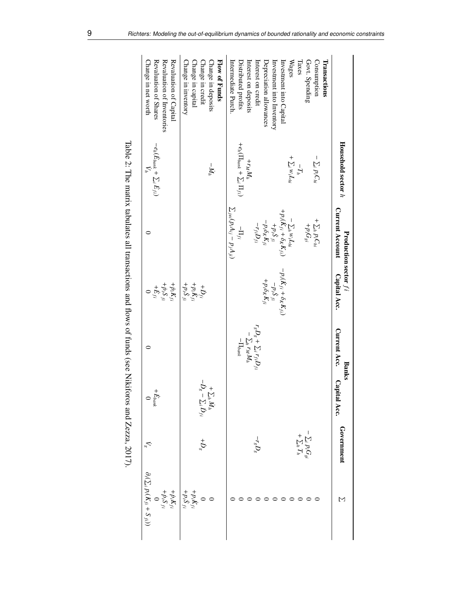|                                             | Household sector $h$                                                                 | <b>Current Account</b><br>Production sector $fi$                                                                                                                                                             | Capital Acc.                                                                                                    | Current Acc.<br><b>Banks</b>                                                       | Capital<br>Acc.                                                                            | Government                             | M                                                                       |
|---------------------------------------------|--------------------------------------------------------------------------------------|--------------------------------------------------------------------------------------------------------------------------------------------------------------------------------------------------------------|-----------------------------------------------------------------------------------------------------------------|------------------------------------------------------------------------------------|--------------------------------------------------------------------------------------------|----------------------------------------|-------------------------------------------------------------------------|
| Transactions                                |                                                                                      |                                                                                                                                                                                                              |                                                                                                                 |                                                                                    |                                                                                            |                                        |                                                                         |
| Govt. Spending<br>Consumption               | $-\sum_i p_i C_{hi}$                                                                 | + $\sum_h p_i C_{hi}$<br>$+p_iG_{gi}$                                                                                                                                                                        |                                                                                                                 |                                                                                    |                                                                                            |                                        |                                                                         |
| Taxes                                       | $-T_h$                                                                               |                                                                                                                                                                                                              |                                                                                                                 |                                                                                    |                                                                                            | $-\sum_i p_i G_{gi}$<br>+ $\sum_h T_h$ |                                                                         |
| Wages                                       | + $\sum_i w_i L_{hi}$                                                                |                                                                                                                                                                                                              |                                                                                                                 |                                                                                    |                                                                                            |                                        |                                                                         |
| Investment into Capital                     |                                                                                      |                                                                                                                                                                                                              |                                                                                                                 |                                                                                    |                                                                                            |                                        |                                                                         |
| Investment into Inventory                   |                                                                                      |                                                                                                                                                                                                              |                                                                                                                 |                                                                                    |                                                                                            |                                        |                                                                         |
| Depreciation allowances                     |                                                                                      |                                                                                                                                                                                                              | $\begin{aligned} -p_i(\dot{K}_{f\,i}+\delta_K K_{f\,i}) \\ -p_i\delta_f \\ +p_i\delta_K K_{f\,i} \end{aligned}$ |                                                                                    |                                                                                            |                                        |                                                                         |
| Interest on credit                          |                                                                                      | $\begin{aligned} &-\sum_{i}{}_{h}w_{i}L_{hi}\\ &+\frac{P_{i}(\hat{K}_{fi}+\hat{\phi}_{K}K_{fi)}}{+\frac{P_{i}\hat{\phi}_{K}K_{fi}}{P_{i}}}\\ &-\frac{P_{i}\hat{\phi}_{K}K_{fi}}{-r_{fi}D_{fi} \end{aligned}$ |                                                                                                                 | $\begin{aligned} r_s D_s + \sum_i r_{fi} D_{fi} \\ - \sum_h r_M M_h \end{aligned}$ |                                                                                            | $-r_sD_s$                              |                                                                         |
| Interest on deposits<br>Distributed profits | $\begin{aligned} + r_M M_h \quad + e_h (\Pi_{bank} + \sum_i \Pi_{fi}) \end{aligned}$ | $-\Pi_{fi}$                                                                                                                                                                                                  |                                                                                                                 | $-1$ $I_{bank}$                                                                    |                                                                                            |                                        |                                                                         |
| Intermediate Purch.                         |                                                                                      | $\sum_{j\neq i}(p_iA_{ij}-p_jA_{ji})$                                                                                                                                                                        |                                                                                                                 |                                                                                    |                                                                                            |                                        |                                                                         |
| Flow of Funds                               |                                                                                      |                                                                                                                                                                                                              |                                                                                                                 |                                                                                    |                                                                                            |                                        |                                                                         |
| Change in deposits                          | $-M_h$                                                                               |                                                                                                                                                                                                              |                                                                                                                 |                                                                                    |                                                                                            |                                        |                                                                         |
| Change in credit                            |                                                                                      |                                                                                                                                                                                                              |                                                                                                                 |                                                                                    | $\begin{aligned} &+\sum_{g}\dot{M}_{h} \\ -\dot{D}_{g}-\sum_{i}\dot{D}_{fi} \end{aligned}$ | $+D_s$                                 |                                                                         |
| Change in capital                           |                                                                                      |                                                                                                                                                                                                              | $\begin{array}{l} +\dot{D}_{f i} \\ +\dot{P} i \dot{K}_{f i} \\ +\dot{P} i \dot{S}_{f i} \end{array}$           |                                                                                    |                                                                                            |                                        |                                                                         |
| Change in inventory                         |                                                                                      |                                                                                                                                                                                                              |                                                                                                                 |                                                                                    |                                                                                            |                                        | $\begin{array}{l} + p_i \dot{K}_{fi} \\ + p_i \dot{S}_{fi} \end{array}$ |
| Revaluation of Capital                      |                                                                                      |                                                                                                                                                                                                              | $\begin{array}{l} +\dot{p}_{i}\dot{K}_{f i}\\ +\dot{p}_{i}\dot{S}_{f i}\\ +\dot{E}_{f i}\\ 0 \end{array}$       |                                                                                    |                                                                                            |                                        | $+\dot p_i K_f$<br>+ $\dot p_i S_f$                                     |
| Revaluation of Inventories                  |                                                                                      |                                                                                                                                                                                                              |                                                                                                                 |                                                                                    |                                                                                            |                                        |                                                                         |
| Revaluation of Shares                       | $-e_h(\dot{E}_{bank} + \sum_i \dot{E}_{fi})$                                         |                                                                                                                                                                                                              |                                                                                                                 |                                                                                    | $+E_{\ensuremath{\textit{bank}}}$                                                          |                                        |                                                                         |
| Change in net worth                         | $\mathcal{L}_h$                                                                      |                                                                                                                                                                                                              |                                                                                                                 |                                                                                    | $\circ$                                                                                    | $V_{\rm g}$                            | $\partial_t (\sum_i p_i (K_{fi} + S_{fi}))$                             |
|                                             |                                                                                      |                                                                                                                                                                                                              |                                                                                                                 |                                                                                    |                                                                                            |                                        |                                                                         |

<span id="page-8-0"></span>Table 2: The matrix tabulates all transactions and flows of funds (see Nikiforos and Zezza, 2017). The matrix tabulates all transactions and flows of funds (see Nikiforos and Zezza, [2017\)](#page-30-10).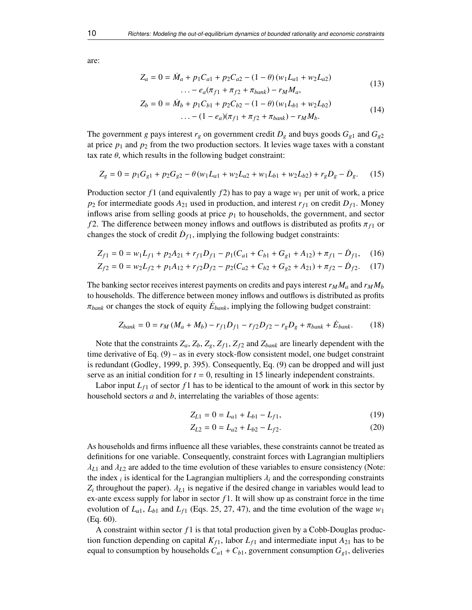are:

<span id="page-9-0"></span>
$$
Z_a = 0 = \dot{M}_a + p_1 C_{a1} + p_2 C_{a2} - (1 - \theta) (w_1 L_{a1} + w_2 L_{a2})
$$
  
... -  $e_a (\pi_{f1} + \pi_{f2} + \pi_{bank}) - r_M M_a,$  (13)

<span id="page-9-4"></span>
$$
Z_b = 0 = \dot{M}_b + p_1 C_{b1} + p_2 C_{b2} - (1 - \theta) (w_1 L_{b1} + w_2 L_{b2})
$$
  
.... - (1 - e<sub>a</sub>)(\pi<sub>f1</sub> + \pi<sub>f2</sub> + \pi<sub>bank</sub>) - r<sub>M</sub>M<sub>b</sub>. (14)

The government *g* pays interest  $r_g$  on government credit  $D_g$  and buys goods  $G_{g1}$  and  $G_{g2}$ at price  $p_1$  and  $p_2$  from the two production sectors. It levies wage taxes with a constant tax rate  $\theta$ , which results in the following budget constraint:

$$
Z_g = 0 = p_1 G_{g1} + p_2 G_{g2} - \theta (w_1 L_{a1} + w_2 L_{a2} + w_1 L_{b1} + w_2 L_{b2}) + r_g D_g - \dot{D}_g. \tag{15}
$$

Production sector *f* 1 (and equivalently *f* 2) has to pay a wage *w*<sup>1</sup> per unit of work, a price  $p_2$  for intermediate goods  $A_{21}$  used in production, and interest  $r_{f1}$  on credit  $D_{f1}$ . Money inflows arise from selling goods at price  $p_1$  to households, the government, and sector *f* 2. The difference between money inflows and outflows is distributed as profits  $\pi_{f_1}$  or changes the stock of credit  $\dot{D}_{f1}$ , implying the following budget constraints:

$$
Z_{f1} = 0 = w_1 L_{f1} + p_2 A_{21} + r_{f1} D_{f1} - p_1 (C_{a1} + C_{b1} + G_{g1} + A_{12}) + \pi_{f1} - D_{f1}, \quad (16)
$$

$$
Z_{f2} = 0 = w_2 L_{f2} + p_1 A_{12} + r_{f2} D_{f2} - p_2 (C_{a2} + C_{b2} + G_{g2} + A_{21}) + \pi_{f2} - D_{f2}.
$$
 (17)

The banking sector receives interest payments on credits and pays interest  $r_M M_a$  and  $r_M M_b$ to households. The difference between money inflows and outflows is distributed as profits  $\pi_{bank}$  or changes the stock of equity  $\dot{E}_{bank}$ , implying the following budget constraint:

$$
Z_{bank} = 0 = r_M \left( M_a + M_b \right) - r_{f1} D_{f1} - r_{f2} D_{f2} - r_g D_g + \pi_{bank} + \dot{E}_{bank}. \tag{18}
$$

Note that the constraints  $Z_a$ ,  $Z_b$ ,  $Z_g$ ,  $Z_{f1}$ ,  $Z_{f2}$  and  $Z_{bank}$  are linearly dependent with the time derivative of Eq. [\(9\)](#page-7-2) – as in every stock-flow consistent model, one budget constraint is redundant (Godley, [1999,](#page-29-18) p. 395). Consequently, Eq. [\(9\)](#page-7-2) can be dropped and will just serve as an initial condition for  $t = 0$ , resulting in 15 linearly independent constraints.

Labor input  $L_f$  of sector  $f_1$  has to be identical to the amount of work in this sector by household sectors *a* and *b*, interrelating the variables of those agents:

<span id="page-9-6"></span><span id="page-9-5"></span><span id="page-9-2"></span><span id="page-9-1"></span>
$$
Z_{L1} = 0 = L_{a1} + L_{b1} - L_{f1},\tag{19}
$$

<span id="page-9-3"></span>
$$
Z_{L2} = 0 = L_{a2} + L_{b2} - L_{f2}.
$$
 (20)

As households and firms influence all these variables, these constraints cannot be treated as definitions for one variable. Consequently, constraint forces with Lagrangian multipliers  $\lambda_{L1}$  and  $\lambda_{L2}$  are added to the time evolution of these variables to ensure consistency (Note: the index *i* is identical for the Lagrangian multipliers  $\lambda_i$  and the corresponding constraints  $\mathbf{z}_i$ , throughout the paper)  $\lambda_i$  is negative if the desired change in variables would lead to  $Z_i$  throughout the paper).  $\lambda_{L1}$  is negative if the desired change in variables would lead to  $\alpha$  ante excess supply for labor in sector  $f_1$ . It will show up as constraint force in the time ex-ante excess supply for labor in sector *f* 1. It will show up as constraint force in the time evolution of  $L_{a1}$ ,  $L_{b1}$  and  $L_{f1}$  (Eqs. [25,](#page-11-0) [27,](#page-11-1) [47\)](#page-14-0), and the time evolution of the wage  $w_1$ (Eq. [60\)](#page-15-0).

A constraint within sector *f* 1 is that total production given by a Cobb-Douglas production function depending on capital  $K_{f1}$ , labor  $L_{f1}$  and intermediate input  $A_{21}$  has to be equal to consumption by households  $C_{a1} + C_{b1}$ , government consumption  $G_{g1}$ , deliveries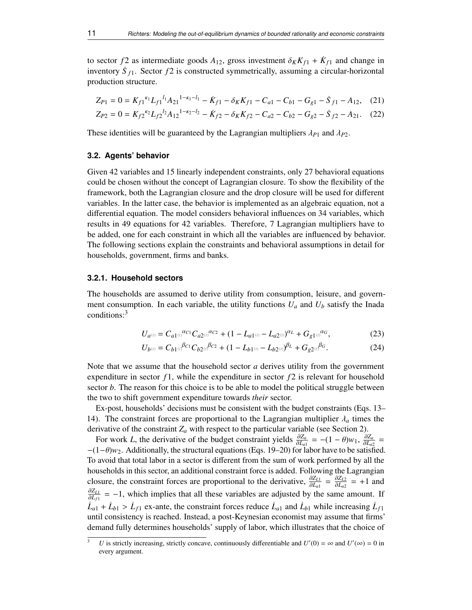to sector *f* 2 as intermediate goods  $A_{12}$ , gross investment  $\delta_K K_{f1} + \dot{K}_{f1}$  and change in<br>inventory  $\dot{S}_{g1}$ . Sector *f* 2 is constructed symmetrically assuming a circular-horizontal inventory  $\dot{S}_{f1}$ . Sector  $f2$  is constructed symmetrically, assuming a circular-horizontal production structure.

<span id="page-10-1"></span><span id="page-10-0"></span>
$$
Z_{P1} = 0 = K_{f1}^{\kappa_1} L_{f1}^{l_1} A_{21}^{1-\kappa_1-l_1} - \dot{K}_{f1} - \delta_K K_{f1} - C_{a1} - C_{b1} - G_{g1} - \dot{S}_{f1} - A_{12}, \quad (21)
$$
  
\n
$$
Z_{P2} = 0 = K_{f2}^{\kappa_2} L_{f2}^{l_2} A_{12}^{1-\kappa_2-l_2} - \dot{K}_{f2} - \delta_K K_{f2} - C_{a2} - C_{b2} - G_{g2} - \dot{S}_{f2} - A_{21}. \quad (22)
$$

These identities will be guaranteed by the Lagrangian multipliers  $\lambda_{P1}$  and  $\lambda_{P2}$ .

## **3.2. Agents' behavior**

Given 42 variables and 15 linearly independent constraints, only 27 behavioral equations could be chosen without the concept of Lagrangian closure. To show the flexibility of the framework, both the Lagrangian closure and the drop closure will be used for different variables. In the latter case, the behavior is implemented as an algebraic equation, not a differential equation. The model considers behavioral influences on 34 variables, which results in 49 equations for 42 variables. Therefore, 7 Lagrangian multipliers have to be added, one for each constraint in which all the variables are influenced by behavior. The following sections explain the constraints and behavioral assumptions in detail for households, government, firms and banks.

#### **3.2.1. Household sectors**

The households are assumed to derive utility from consumption, leisure, and government consumption. In each variable, the utility functions  $U_a$  and  $U_b$  satisfy the Inada conditions:[3](#page-10-2)

<span id="page-10-4"></span><span id="page-10-3"></span>
$$
U_{a^{(t)}} = C_{a1^{(t)}}^{\alpha_{c1}} C_{a2^{(t)}}^{\alpha_{c2}} + (1 - L_{a1^{(t)}} - L_{a2^{(t)}})^{\alpha_L} + G_{g1^{(t)}}^{\alpha_G},\tag{23}
$$

$$
U_{b^{(t)}} = C_{b1^{(t)}}{}^{\beta c_1} C_{b2^{(t)}}{}^{\beta c_2} + (1 - L_{b1^{(t)}} - L_{b2^{(t)}}{}^{\beta L} + G_{g2^{(t)}}{}^{\beta c}.
$$
 (24)

Note that we assume that the household sector *a* derives utility from the government expenditure in sector  $f_1$ , while the expenditure in sector  $f_2$  is relevant for household sector *b*. The reason for this choice is to be able to model the political struggle between the two to shift government expenditure towards *their* sector.

Ex-post, households' decisions must be consistent with the budget constraints (Eqs. [13–](#page-9-0) [14\)](#page-9-4). The constraint forces are proportional to the Lagrangian multiplier  $\lambda_a$  times the derivative of the constraint  $Z_a$  with respect to the particular variable (see Section [2\)](#page-1-0).

For work *L*, the derivative of the budget constraint yields  $\frac{\partial Z_a}{\partial L_a}$  $\frac{\partial Z_a}{\partial L_{a1}} = -(1 - \theta)w_1, \frac{\partial Z_a}{\partial L_{a2}}$ <br>or labor have to be satisf *o∟a*<br>∂L<sub>a2</sub> =<br>tisfied  $-(1-\theta)w_2$ . Additionally, the structural equations (Eqs. [19](#page-9-2)[–20\)](#page-9-3) for labor have to be satisfied. To avoid that total labor in a sector is different from the sum of work performed by all the households in this sector, an additional constraint force is added. Following the Lagrangian closure, the constraint forces are proportional to the derivative,  $\frac{\partial Z_{L1}}{\partial L_{11}} = \frac{\partial Z_{L2}}{\partial L_{22}} = +1$  and  $\frac{\partial Z_{L1}}{\partial L_{d1}} = -1$ , which implies that all these variables are adjusted by the same  $\frac{\partial Z_{L1}}{\partial L_{f1}} = -1$ , which implies that all these variables are adjusted by the same amount. If  $\dot{L}_{a1} + \dot{L}_{b1} > \dot{L}_{f1}$  ex-ante, the constraint forces reduce  $\dot{L}_{a1}$  and  $\dot{L}_{b1}$  while increasing  $\dot{L}_{f1}$ <br>until consistency is reached. Instead, a post Keynesian economist may assume that firms until consistency is reached. Instead, a post-Keynesian economist may assume that firms' demand fully determines households' supply of labor, which illustrates that the choice of

<span id="page-10-2"></span><sup>&</sup>lt;sup>3</sup> *U* is strictly increasing, strictly concave, continuously differentiable and  $U'(0) = \infty$  and  $U'(\infty) = 0$  in every argument.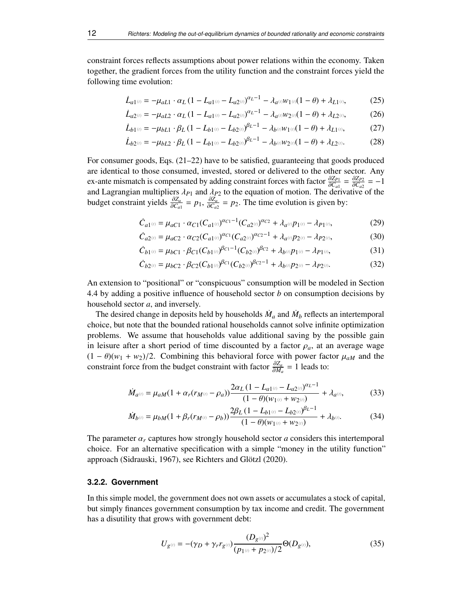constraint forces reflects assumptions about power relations within the economy. Taken together, the gradient forces from the utility function and the constraint forces yield the following time evolution:

<span id="page-11-0"></span>
$$
\dot{L}_{a1^{(t)}} = -\mu_{aL1} \cdot \alpha_L (1 - L_{a1^{(t)}} - L_{a2^{(t)}})^{\alpha_L - 1} - \lambda_{a^{(t)}} w_{1^{(t)}} (1 - \theta) + \lambda_{L1^{(t)}},
$$
(25)

$$
\dot{L}_{a2^{(t)}} = -\mu_{aL2} \cdot \alpha_L (1 - L_{a1^{(t)}} - L_{a2^{(t)}})^{\alpha_L - 1} - \lambda_{a^{(t)}} w_{2^{(t)}} (1 - \theta) + \lambda_{L2^{(t)}},
$$
(26)

<span id="page-11-1"></span>
$$
\dot{L}_{b1^{(t)}} = -\mu_{bL1} \cdot \beta_L (1 - L_{b1^{(t)}} - L_{b2^{(t)}})^{\beta_L - 1} - \lambda_{b^{(t)}} w_{1^{(t)}} (1 - \theta) + \lambda_{L1^{(t)}},
$$
(27)

$$
\dot{L}_{b2^{(t)}} = -\mu_{bL2} \cdot \beta_L (1 - L_{b1^{(t)}} - L_{b2^{(t)}})^{\beta_L - 1} - \lambda_{b^{(t)}} w_{2^{(t)}} (1 - \theta) + \lambda_{L2^{(t)}}.
$$
 (28)

For consumer goods, Eqs. [\(21–](#page-10-0)[22\)](#page-10-1) have to be satisfied, guaranteeing that goods produced are identical to those consumed, invested, stored or delivered to the other sector. Any ex-ante mismatch is compensated by adding constraint forces with factor <sup>∂</sup>*ZP*<sup>1</sup>  $\frac{\partial Z_{P1}}{\partial C_{a1}} = \frac{\partial Z_{P2}}{\partial C_{a2}}$ <br>derivative  $\frac{\partial Z_{P2}}{\partial C_{a2}} = -1$ <br>ive of the and Lagrangian multipliers  $\lambda_{P1}$  and  $\lambda_{P2}$  to the equation of motion. The derivative of the budget constraint yields  $\frac{\partial Z_a}{\partial C_1} = p_1$ ,  $\frac{\partial Z_a}{\partial C_2} = p_2$ . The time evolution is given by:  $\frac{\partial Z_a}{\partial C_{a1}} = p_1$ ,  $\frac{\partial Z_a}{\partial C_{a2}}$  $rac{\partial Z_a}{\partial C_{a2}} = p_2$ . The time evolution is given by:

<span id="page-11-2"></span>
$$
\dot{C}_{a1^{(t)}} = \mu_{aC1} \cdot \alpha_{C1} (C_{a1^{(t)}})^{\alpha_{C1} - 1} (C_{a2^{(t)}})^{\alpha_{C2}} + \lambda_{a^{(t)}} p_{1^{(t)}} - \lambda_{P1^{(t)}},
$$
\n(29)

$$
\dot{C}_{a2^{(t)}} = \mu_{aC2} \cdot \alpha_{C2} (C_{a1^{(t)}})^{\alpha_{C1}} (C_{a2^{(t)}})^{\alpha_{C2} - 1} + \lambda_{a^{(t)}} p_{2^{(t)}} - \lambda_{P2^{(t)}},
$$
\n(30)

$$
\dot{C}_{b1^{(i)}} = \mu_{bC1} \cdot \beta_{C1} (C_{b1^{(i)}})^{\beta_{C1} - 1} (C_{b2^{(i)}})^{\beta_{C2}} + \lambda_{b^{(i)}} p_{1^{(i)}} - \lambda_{P1^{(i)}},
$$
\n(31)

<span id="page-11-3"></span>
$$
\dot{C}_{b2^{(i)}} = \mu_{bC2} \cdot \beta_{C2} (C_{b1^{(i)}})^{\beta_{C1}} (C_{b2^{(i)}})^{\beta_{C2} - 1} + \lambda_{b^{(i)}} p_{2^{(i)}} - \lambda_{P2^{(i)}}.
$$
\n(32)

An extension to "positional" or "conspicuous" consumption will be modeled in Section [4.4](#page-24-0) by adding a positive influence of household sector *b* on consumption decisions by household sector *a*, and inversely.

The desired change in deposits held by households  $\dot{M}_a$  and  $\dot{M}_b$  reflects an intertemporal choice, but note that the bounded rational households cannot solve infinite optimization problems. We assume that households value additional saving by the possible gain in leisure after a short period of time discounted by a factor  $\rho_a$ , at an average wage  $(1 - \theta)(w_1 + w_2)/2$ . Combining this behavioral force with power factor  $\mu_{aM}$  and the constraint force from the budget constraint with factor <sup>∂</sup>*Z<sup>a</sup>*  $\frac{\partial Z_a}{\partial M_a} = 1$  leads to:

<span id="page-11-4"></span>
$$
\dot{M}_{a^{(t)}} = \mu_{aM} (1 + \alpha_r (r_{M^{(t)}} - \rho_a)) \frac{2\alpha_L (1 - L_{a1^{(t)}} - L_{a2^{(t)}})^{\alpha_L - 1}}{(1 - \theta)(w_{1^{(t)}} + w_{2^{(t)}})} + \lambda_{a^{(t)}},
$$
(33)

<span id="page-11-5"></span>
$$
\dot{M}_{b^{(t)}} = \mu_{bM}(1 + \beta_r(r_{M^{(t)}} - \rho_b)) \frac{2\beta_L (1 - L_{b1^{(t)}} - L_{b2^{(t)}})^{\beta_L - 1}}{(1 - \theta)(w_{1^{(t)}} + w_{2^{(t)}})} + \lambda_{b^{(t)}}.
$$
\n(34)

The parameter  $\alpha_r$  captures how strongly household sector *a* considers this intertemporal choice. For an alternative specification with a simple "money in the utility function" approach (Sidrauski, [1967\)](#page-30-13), see Richters and Glötzl [\(2020\)](#page-30-8).

## **3.2.2. Government**

In this simple model, the government does not own assets or accumulates a stock of capital, but simply finances government consumption by tax income and credit. The government has a disutility that grows with government debt:

$$
U_{g^{(i)}} = -(\gamma_D + \gamma_r r_{g^{(i)}}) \frac{(D_{g^{(i)}})^2}{(p_{1^{(i)}} + p_{2^{(i)}})/2} \Theta(D_{g^{(i)}}),
$$
\n(35)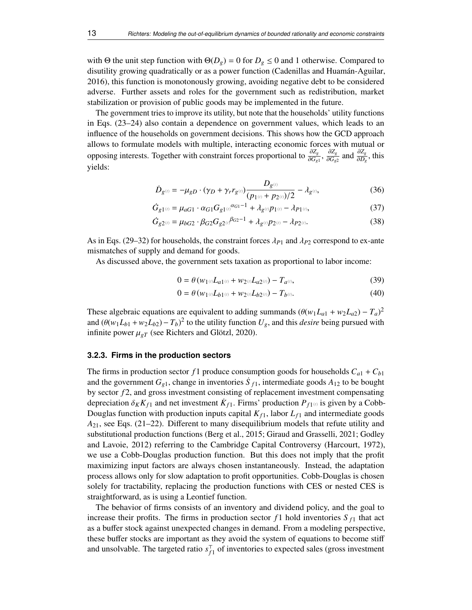with Θ the unit step function with  $\Theta(D_g) = 0$  for  $D_g \le 0$  and 1 otherwise. Compared to disutility growing quadratically or as a power function (Cadenillas and Huamán-Aguilar, [2016\)](#page-28-16), this function is monotonously growing, avoiding negative debt to be considered adverse. Further assets and roles for the government such as redistribution, market stabilization or provision of public goods may be implemented in the future.

The government tries to improve its utility, but note that the households' utility functions in Eqs. [\(23–](#page-10-3)[24\)](#page-10-4) also contain a dependence on government values, which leads to an influence of the households on government decisions. This shows how the GCD approach allows to formulate models with multiple, interacting economic forces with mutual or opposing interests. Together with constraint forces proportional to <sup>∂</sup>*Z<sup>g</sup>*  $\frac{\partial Z_g}{\partial G_{g1}}, \frac{\partial Z_g}{\partial G_{g2}}$ <sup>∂</sup>*Gg*<sup>2</sup> and  $\frac{\partial Z_g}{\partial D}$  $rac{\partial Z_g}{\partial D_g}$ , this yields:

$$
\dot{D}_{g^{(t)}} = -\mu_{gD} \cdot (\gamma_D + \gamma_r r_{g^{(t)}}) \frac{D_{g^{(t)}}}{(p_{1^{(t)}} + p_{2^{(t)}})/2} - \lambda_{g^{(t)}},\tag{36}
$$

$$
\dot{G}_{g1^{(i)}} = \mu_{aG1} \cdot \alpha_{G1} G_{g1^{(i)}}^{\alpha_{G1}-1} + \lambda_{g^{(i)}} p_{1^{(i)}} - \lambda_{P1^{(i)}},\tag{37}
$$

$$
\dot{G}_{g2^{(t)}} = \mu_{bG2} \cdot \beta_{G2} G_{g2^{(t)}} \beta_{G2}^{-1} + \lambda_{g^{(t)}} p_{2^{(t)}} - \lambda_{P2^{(t)}}.
$$
\n(38)

As in Eqs. [\(29–](#page-11-2)[32\)](#page-11-3) for households, the constraint forces  $\lambda_{P1}$  and  $\lambda_{P2}$  correspond to ex-ante mismatches of supply and demand for goods.

As discussed above, the government sets taxation as proportional to labor income:

<span id="page-12-0"></span>
$$
0 = \theta \left( w_{1^{(t)}} L_{a1^{(t)}} + w_{2^{(t)}} L_{a2^{(t)}} \right) - T_{a^{(t)}},\tag{39}
$$

<span id="page-12-1"></span>
$$
0 = \theta \left( w_{1} \omega L_{b1} \omega + w_{2} \omega L_{b2} \omega \right) - T_{b} \omega.
$$
 (40)

These algebraic equations are equivalent to adding summands  $(\theta(w_1L_{a1} + w_2L_{a2}) - T_a)^2$ <br>and  $(\theta(w_1L_{a1} + w_2L_{a2}) - T_a)^2$  to the utility function *U* and this *desire* being pursued with and  $(\theta(w_1L_{b1} + w_2L_{b2}) - T_b)^2$  to the utility function  $U_g$ , and this *desire* being pursued with infinite nower  $U_g$  (see Bichters and Glötz), 2020). infinite power  $\mu_{gT}$  (see Richters and Glötzl, [2020\)](#page-30-8).

## **3.2.3. Firms in the production sectors**

The firms in production sector  $f_1$  produce consumption goods for households  $C_{a_1} + C_{b_1}$ and the government  $G_{g1}$ , change in inventories  $\dot{S}_{f1}$ , intermediate goods  $A_{12}$  to be bought by sector *f* 2, and gross investment consisting of replacement investment compensating depreciation  $\delta_K K_{f1}$  and net investment  $K_{f1}$ . Firms' production  $P_{f1}(\theta)$  is given by a Cobb-<br>Douglas function with production inputs capital  $K_{\alpha}$ , labor  $I_{\alpha}$  and intermediate goods Douglas function with production inputs capital  $K_{f1}$ , labor  $L_{f1}$  and intermediate goods *A*21, see Eqs. [\(21–](#page-10-0)[22\)](#page-10-1). Different to many disequilibrium models that refute utility and substitutional production functions (Berg et al., [2015;](#page-28-17) Giraud and Grasselli, [2021;](#page-29-19) Godley and Lavoie, [2012\)](#page-29-10) referring to the Cambridge Capital Controversy (Harcourt, [1972\)](#page-29-20), we use a Cobb-Douglas production function. But this does not imply that the profit maximizing input factors are always chosen instantaneously. Instead, the adaptation process allows only for slow adaptation to profit opportunities. Cobb-Douglas is chosen solely for tractability, replacing the production functions with CES or nested CES is straightforward, as is using a Leontief function.

The behavior of firms consists of an inventory and dividend policy, and the goal to increase their profits. The firms in production sector  $f_1$  hold inventories  $S_{f_1}$  that act as a buffer stock against unexpected changes in demand. From a modeling perspective, these buffer stocks are important as they avoid the system of equations to become stiff and unsolvable. The targeted ratio  $s_f^{\dagger}$  $f_1$  of inventories to expected sales (gross investment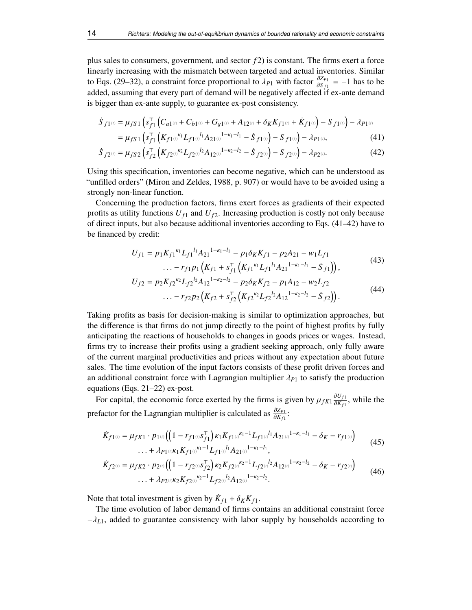plus sales to consumers, government, and sector *f* 2) is constant. The firms exert a force linearly increasing with the mismatch between targeted and actual inventories. Similar to Eqs. [\(29–](#page-11-2)[32\)](#page-11-3), a constraint force proportional to  $\lambda_{P1}$  with factor  $\frac{\partial Z_{P1}}{\partial S_{f1}} = -1$  has to be added assuming that every part of demand will be persitively affected if ex ante demand added, assuming that every part of demand will be negatively affected if ex-ante demand is bigger than ex-ante supply, to guarantee ex-post consistency.

$$
\dot{S}_{f1^{(i)}} = \mu_{fS1} \left( s_{f1}^{\top} \left( C_{a1^{(i)}} + C_{b1^{(i)}} + G_{g1^{(i)}} + A_{12^{(i)}} + \delta_K K_{f1^{(i)}} + \dot{K}_{f1^{(i)}} \right) - S_{f1^{(i)}} \right) - \lambda_{P1^{(i)}}
$$
\n
$$
= \mu_{fS1} \left( s_{f1}^{\top} \left( K_{f1^{(i)}}^{\kappa_1} L_{f1^{(i)}}^{\top} A_{21^{(i)}}^{1 - \kappa_1 - l_1} - \dot{S}_{f1^{(i)}} \right) - S_{f1^{(i)}} \right) - \lambda_{P1^{(i)}}, \tag{41}
$$

$$
\dot{S}_{f2^{(t)}} = \mu_{fS2} \left( s_{f2}^{\top} \left( K_{f2^{(t)}}^{k_2} L_{f2^{(t)}}^{l_2} A_{12^{(t)}}^{1 - \kappa_2 - l_2} - \dot{S}_{f2^{(t)}} \right) - S_{f2^{(t)}} \right) - \lambda_{P2^{(t)}}.
$$
\n(42)

Using this specification, inventories can become negative, which can be understood as "unfilled orders" (Miron and Zeldes, [1988,](#page-29-21) p. 907) or would have to be avoided using a strongly non-linear function.

Concerning the production factors, firms exert forces as gradients of their expected profits as utility functions  $U_{f1}$  and  $U_{f2}$ . Increasing production is costly not only because of direct inputs, but also because additional inventories according to Eqs. [\(41–](#page-13-0)[42\)](#page-13-1) have to be financed by credit:

<span id="page-13-1"></span><span id="page-13-0"></span>
$$
U_{f1} = p_1 K_{f1}^{k_1} L_{f1}^{l_1} A_{21}^{1-k_1-l_1} - p_1 \delta_K K_{f1} - p_2 A_{21} - w_1 L_{f1}
$$
  
... 
$$
- r_{f1} p_1 \left( K_{f1} + s_{f1}^{\top} \left( K_{f1}^{k_1} L_{f1}^{l_1} A_{21}^{1-k_1-l_1} - S_{f1} \right) \right), \tag{43}
$$

$$
U_{f2} = p_2 K_{f2}^{k_2} L_{f2}^{l_2} A_{12}^{1-\kappa_2-l_2} - p_2 \delta_K K_{f2} - p_1 A_{12} - w_2 L_{f2}
$$
  
... 
$$
- r_{f2} p_2 \left( K_{f2} + s_{f2}^{\top} \left( K_{f2}^{k_2} L_{f2}^{l_2} A_{12}^{1-\kappa_2-l_2} - S_{f2} \right) \right). \tag{44}
$$

Taking profits as basis for decision-making is similar to optimization approaches, but the difference is that firms do not jump directly to the point of highest profits by fully anticipating the reactions of households to changes in goods prices or wages. Instead, firms try to increase their profits using a gradient seeking approach, only fully aware of the current marginal productivities and prices without any expectation about future sales. The time evolution of the input factors consists of these profit driven forces and an additional constraint force with Lagrangian multiplier  $\lambda_{P1}$  to satisfy the production equations (Eqs. [21](#page-10-0)[–22\)](#page-10-1) ex-post.

For capital, the economic force exerted by the firms is given by  $\mu_{fK1} \frac{\partial U_{f1}}{\partial K_{f1}}$  $\frac{\partial v_{f1}}{\partial K_{f1}}$ , while the prefactor for the Lagrangian multiplier is calculated as  $\frac{\partial Z_{PL}}{\partial K_{21}}$  $\frac{\partial \mathcal{L}_{P1}}{\partial K_{f1}}$ :

$$
\dot{K}_{f1^{(i)}} = \mu_{fK1} \cdot p_{1^{(i)}} \Big( \Big( 1 - r_{f1^{(i)}} s_{f1}^{\mathsf{T}} \Big) \kappa_1 K_{f1^{(i)}}^{\kappa_1 - 1} L_{f1^{(i)}}^{\iota_1} A_{21^{(i)}}^{1 - \kappa_1 - l_1} - \delta_K - r_{f1^{(i)}} \Big) \qquad (45)
$$
\n
$$
\dots + \lambda_{P1^{(i)}} \kappa_1 K_{f1^{(i)}}^{\kappa_1 - 1} L_{f1^{(i)}}^{\iota_1} A_{21^{(i)}}^{1 - \kappa_1 - l_1},
$$

$$
\dot{K}_{f2^{(i)}} = \mu_{fK2} \cdot p_{2^{(i)}} \Big( \Big( 1 - r_{f2^{(i)}} s_{f2}^{\mathsf{T}} \Big) \kappa_2 K_{f2^{(i)}}^{\kappa_2 - 1} L_{f2^{(i)}}^{\mathsf{T}_2} A_{12^{(i)}}^{1 - \kappa_2 - \mathsf{T}_2} - \delta_K - r_{f2^{(i)}} \Big) \newline \cdots + \lambda_{P2^{(i)}} \kappa_2 K_{f2^{(i)}}^{\kappa_2 - 1} L_{f2^{(i)}}^{\mathsf{T}_2} A_{12^{(i)}}^{1 - \kappa_2 - \mathsf{T}_2}. \tag{46}
$$

Note that total investment is given by  $\dot{K}_{f1} + \delta_K K_{f1}$ .<br>The time evolution of labor demand of firms co

The time evolution of labor demand of firms contains an additional constraint force  $-\lambda_{L1}$ , added to guarantee consistency with labor supply by households according to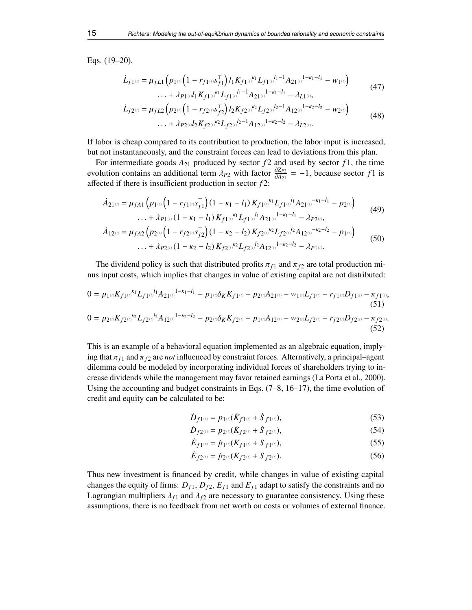Eqs. [\(19–](#page-9-2)[20\)](#page-9-3).

<span id="page-14-0"></span>
$$
\dot{L}_{f1^{(i)}} = \mu_{fL1} \left( p_{1^{(i)}} \left( 1 - r_{f1^{(i)}} s_{f1}^{\mathsf{T}} \right) l_1 K_{f1^{(i)}}^{k_1} L_{f1^{(i)}}^{l_1 - 1} A_{21^{(i)}}^{1 - k_1 - l_1} - w_{1^{(i)}} \right) \dots + \lambda_{P1^{(i)}} l_1 K_{f1^{(i)}}^{k_1} L_{f1^{(i)}}^{l_1 - 1} A_{21^{(i)}}^{1 - k_1 - l_1} - \lambda_{L1^{(i)}}, \tag{47}
$$

<span id="page-14-1"></span>
$$
\dot{L}_{f2^{(t)}} = \mu_{fL2} \left( p_{2^{(t)}} \left( 1 - r_{f2^{(t)}} s_{f2}^{\top} \right) l_2 K_{f2^{(t)}}^{k_2} L_{f2^{(t)}}^{l_2 - 1} A_{12^{(t)}}^{l_1 - k_2 - l_2} - w_{2^{(t)}} \right) \dots + \lambda_{P2^{(t)}} l_2 K_{f2^{(t)}}^{k_2} L_{f2^{(t)}}^{l_2 - 1} A_{12^{(t)}}^{l_1 - k_2 - l_2} - \lambda_{L2^{(t)}}. \tag{48}
$$

If labor is cheap compared to its contribution to production, the labor input is increased, but not instantaneously, and the constraint forces can lead to deviations from this plan.

For intermediate goods  $A_{21}$  produced by sector  $f_2$  and used by sector  $f_1$ , the time evolution contains an additional term  $\lambda_{P2}$  with factor  $\frac{\partial Z_{P2}}{\partial A_{21}} = -1$ , because sector *f* 1 is affected if there is insufficient production in sector *f* 2: affected if there is insufficient production in sector *f* 2:

$$
\dot{A}_{21^{(i)}} = \mu_{fA1} \left( p_{1^{(i)}} \left( 1 - r_{f1^{(i)}} s_{f1}^{\top} \right) \left( 1 - \kappa_1 - l_1 \right) K_{f1^{(i)}} \kappa_1 L_{f1^{(i)}} l_1 A_{21^{(i)}} - \kappa_1 - l_1 - p_{2^{(i)}} \right) \dots + \lambda_{P1^{(i)}} \left( 1 - \kappa_1 - l_1 \right) K_{f1^{(i)}} \kappa_1 L_{f1^{(i)}} l_1 A_{21^{(i)}} l_1 - \kappa_1 - l_1 - \lambda_{P2^{(i)}}, \tag{49}
$$

$$
\dot{A}_{12^{(i)}} = \mu_{fA2} \left( p_{2^{(i)}} \left( 1 - r_{f2^{(i)}} s_{f2}^{\top} \right) \left( 1 - \kappa_2 - l_2 \right) K_{f2^{(i)}}^{\kappa_2} L_{f2^{(i)}}^{\kappa_2} L_{f2^{(i)}}^{\kappa_2} A_{12^{(i)}}^{-\kappa_2 - l_2} - p_{1^{(i)}} \right) \tag{50}
$$
\n
$$
\dots + \lambda_{P2^{(i)}} \left( 1 - \kappa_2 - l_2 \right) K_{f2^{(i)}}^{\kappa_2} L_{f2^{(i)}}^{\kappa_2} A_{12^{(i)}}^{-1 - \kappa_2 - l_2} - \lambda_{P1^{(i)}}.
$$

The dividend policy is such that distributed profits  $\pi_{f1}$  and  $\pi_{f2}$  are total production minus input costs, which implies that changes in value of existing capital are not distributed:

$$
0 = p_{1} \omega K_{f1} \omega^{k_1} L_{f1} \omega^{l_1} A_{21} \omega^{1 - \kappa_1 - l_1} - p_{1} \omega \delta_K K_{f1} \omega - p_{2} \omega A_{21} \omega - w_{1} \omega L_{f1} \omega - r_{f1} \omega D_{f1} \omega - \pi_{f1} \omega,
$$
\n(51)  
\n
$$
0 = p_{2} \omega K_{f2} \omega^{k_2} L_{f2} \omega^{l_2} A_{12} \omega^{1 - \kappa_2 - l_2} - p_{2} \omega \delta_K K_{f2} \omega - p_{1} \omega A_{12} \omega - w_{2} \omega L_{f2} \omega - r_{f2} \omega D_{f2} \omega - \pi_{f2} \omega.
$$
\n(52)

This is an example of a behavioral equation implemented as an algebraic equation, implying that  $\pi_{f1}$  and  $\pi_{f2}$  are *not* influenced by constraint forces. Alternatively, a principal–agent dilemma could be modeled by incorporating individual forces of shareholders trying to increase dividends while the management may favor retained earnings (La Porta et al., [2000\)](#page-29-22). Using the accounting and budget constraints in Eqs. [\(7](#page-7-0)[–8,](#page-7-3) [16](#page-9-5)[–17\)](#page-9-6), the time evolution of credit and equity can be calculated to be:

<span id="page-14-3"></span><span id="page-14-2"></span>
$$
\dot{D}_{f1^{(t)}} = p_{1^{(t)}}(\dot{K}_{f1^{(t)}} + \dot{S}_{f1^{(t)}}),
$$
\n(53)

$$
\dot{D}_{f2^{(t)}} = p_{2^{(t)}}(\dot{K}_{f2^{(t)}} + \dot{S}_{f2^{(t)}}),\tag{54}
$$

$$
\dot{E}_{f1^{(i)}} = \dot{p}_{1^{(i)}}(K_{f1^{(i)}} + S_{f1^{(i)}}),\tag{55}
$$

$$
\dot{E}_{f2^{(t)}} = \dot{p}_{2^{(t)}}(K_{f2^{(t)}} + S_{f2^{(t)}}). \tag{56}
$$

Thus new investment is financed by credit, while changes in value of existing capital changes the equity of firms:  $D_{f1}$ ,  $D_{f2}$ ,  $E_{f1}$  and  $E_{f1}$  adapt to satisfy the constraints and no Lagrangian multipliers  $\lambda_{f1}$  and  $\lambda_{f2}$  are necessary to guarantee consistency. Using these assumptions, there is no feedback from net worth on costs or volumes of external finance.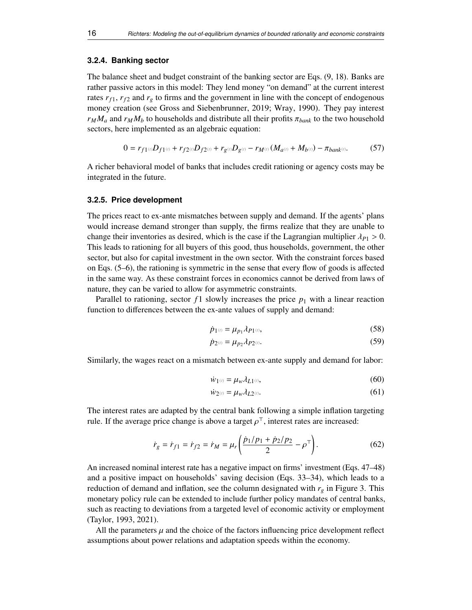#### **3.2.4. Banking sector**

The balance sheet and budget constraint of the banking sector are Eqs. [\(9,](#page-7-2) [18\)](#page-9-1). Banks are rather passive actors in this model: They lend money "on demand" at the current interest rates  $r_{f1}$ ,  $r_{f2}$  and  $r_g$  to firms and the government in line with the concept of endogenous money creation (see Gross and Siebenbrunner, [2019;](#page-29-23) Wray, [1990\)](#page-30-14). They pay interest  $r_M M_a$  and  $r_M M_b$  to households and distribute all their profits  $\pi_{bank}$  to the two household sectors, here implemented as an algebraic equation:

$$
0 = r_{f1^{(i)}}D_{f1^{(i)}} + r_{f2^{(i)}}D_{f2^{(i)}} + r_{g^{(i)}}D_{g^{(i)}} - r_{M^{(i)}}(M_{a^{(i)}} + M_{b^{(i)}}) - \pi_{bank^{(i)}}.
$$
 (57)

A richer behavioral model of banks that includes credit rationing or agency costs may be integrated in the future.

#### **3.2.5. Price development**

The prices react to ex-ante mismatches between supply and demand. If the agents' plans would increase demand stronger than supply, the firms realize that they are unable to change their inventories as desired, which is the case if the Lagrangian multiplier  $\lambda_{P1} > 0$ . This leads to rationing for all buyers of this good, thus households, government, the other sector, but also for capital investment in the own sector. With the constraint forces based on Eqs. [\(5–](#page-4-1)[6\)](#page-5-1), the rationing is symmetric in the sense that every flow of goods is affected in the same way. As these constraint forces in economics cannot be derived from laws of nature, they can be varied to allow for asymmetric constraints.

Parallel to rationing, sector  $f_1$  slowly increases the price  $p_1$  with a linear reaction function to differences between the ex-ante values of supply and demand:

<span id="page-15-2"></span><span id="page-15-1"></span>
$$
\dot{p}_{1^{(i)}} = \mu_{p_1} \lambda_{P1^{(i)}},\tag{58}
$$

$$
\dot{p}_{2^{(t)}} = \mu_{p_2} \lambda_{P2^{(t)}}.
$$
\n(59)

Similarly, the wages react on a mismatch between ex-ante supply and demand for labor:

<span id="page-15-3"></span><span id="page-15-0"></span>
$$
\dot{w}_1(\theta) = \mu_w \lambda_{L1}(\theta),\tag{60}
$$

$$
\dot{w}_{2^{(i)}} = \mu_w \lambda_{L2^{(i)}}.\tag{61}
$$

The interest rates are adapted by the central bank following a simple inflation targeting rule. If the average price change is above a target  $\rho^{\top}$ , interest rates are increased:

$$
\dot{r}_g = \dot{r}_{f1} = \dot{r}_{f2} = \dot{r}_M = \mu_r \left( \frac{\dot{p}_1/p_1 + \dot{p}_2/p_2}{2} - \rho^\top \right). \tag{62}
$$

An increased nominal interest rate has a negative impact on firms' investment (Eqs. [47–](#page-14-0)[48\)](#page-14-1) and a positive impact on households' saving decision (Eqs. [33–](#page-11-4)[34\)](#page-11-5), which leads to a reduction of demand and inflation, see the column designated with  $r_g$  in Figure [3.](#page-21-0) This monetary policy rule can be extended to include further policy mandates of central banks, such as reacting to deviations from a targeted level of economic activity or employment (Taylor, [1993,](#page-30-15) [2021\)](#page-30-16).

All the parameters  $\mu$  and the choice of the factors influencing price development reflect assumptions about power relations and adaptation speeds within the economy.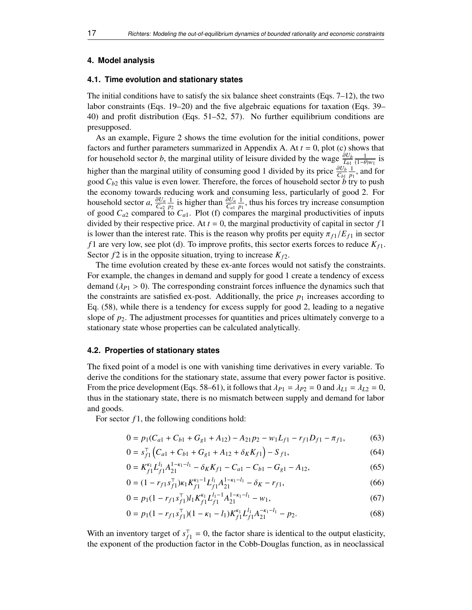#### <span id="page-16-0"></span>**4. Model analysis**

## <span id="page-16-3"></span>**4.1. Time evolution and stationary states**

The initial conditions have to satisfy the six balance sheet constraints (Eqs. [7](#page-7-0)[–12\)](#page-7-1), the two labor constraints (Eqs. [19–](#page-9-2)[20\)](#page-9-3) and the five algebraic equations for taxation (Eqs. [39–](#page-12-0) [40\)](#page-12-1) and profit distribution (Eqs. [51](#page-14-2)[–52,](#page-14-3) [57\)](#page-15-1). No further equilibrium conditions are presupposed.

As an example, Figure [2](#page-17-0) shows the time evolution for the initial conditions, power factors and further parameters summarized in Appendix [A.](#page-31-0) At *t* = 0, plot (c) shows that for household sector *b*, the marginal utility of leisure divided by the wage  $\frac{\partial U_b}{L_{b1}} \frac{1}{(1-\theta)w_1}$  is higher than the marginal utility of consuming good 1 divided by its price  $\frac{\partial U_b}{C_{b1}} \frac{1}{p_1}$ , and for good *Cb*<sup>2</sup> this value is even lower. Therefore, the forces of household sector *b* try to push the economy towards reducing work and consuming less, particularly of good 2. For household sector *a*,  $\frac{\partial U_a}{\partial a^2} \frac{1}{p_2}$  is higher than  $\frac{\partial U_a}{\partial a^1} \frac{1}{p_1}$ , thus his forces try increase consumption of good  $C_{a2}$  compared to  $C_{a1}$ . Plot (f) compares the marginal productivities of inputs divided by their respective price. At  $t = 0$ , the marginal productivity of capital in sector  $f_1$ is lower than the interest rate. This is the reason why profits per equity  $\pi_{f_1}/E_{f_1}$  in sector *f* 1 are very low, see plot (d). To improve profits, this sector exerts forces to reduce *K<sup>f</sup>* <sup>1</sup>. Sector  $f2$  is in the opposite situation, trying to increase  $K_{f2}$ .

The time evolution created by these ex-ante forces would not satisfy the constraints. For example, the changes in demand and supply for good 1 create a tendency of excess demand  $(\lambda_{P1} > 0)$ . The corresponding constraint forces influence the dynamics such that the constraints are satisfied ex-post. Additionally, the price  $p_1$  increases according to Eq. [\(58\)](#page-15-2), while there is a tendency for excess supply for good 2, leading to a negative slope of  $p_2$ . The adjustment processes for quantities and prices ultimately converge to a stationary state whose properties can be calculated analytically.

## <span id="page-16-4"></span>**4.2. Properties of stationary states**

The fixed point of a model is one with vanishing time derivatives in every variable. To derive the conditions for the stationary state, assume that every power factor is positive. From the price development (Eqs. [58–](#page-15-2)[61\)](#page-15-3), it follows that  $\lambda_{P1} = \lambda_{P2} = 0$  and  $\lambda_{L1} = \lambda_{L2} = 0$ , thus in the stationary state, there is no mismatch between supply and demand for labor and goods.

For sector  $f_1$ , the following conditions hold:

$$
0 = p_1(C_{a1} + C_{b1} + G_{g1} + A_{12}) - A_{21}p_2 - w_1L_{f1} - r_{f1}D_{f1} - \pi_{f1},
$$
(63)

<span id="page-16-1"></span>
$$
0 = s_{f1}^{\top} \left( C_{a1} + C_{b1} + G_{g1} + A_{12} + \delta_K K_{f1} \right) - S_{f1}, \tag{64}
$$

$$
0 = K_{f1}^{\kappa_1} L_{f1}^{l_1} A_{21}^{1-\kappa_1-l_1} - \delta_K K_{f1} - C_{a1} - C_{b1} - G_{g1} - A_{12},
$$
\n(65)

$$
0 = (1 - r_{f1} s_{f1}^{\mathsf{T}}) \kappa_1 K_{f1}^{\kappa_1 - 1} L_{f1}^{l_1} A_{21}^{1 - \kappa_1 - l_1} - \delta_K - r_{f1}, \tag{66}
$$

<span id="page-16-2"></span>
$$
0 = p_1(1 - r_{f1} s_{f1}^{\mathsf{T}}) l_1 K_{f1}^{\kappa_1} L_{f1}^{l_1 - 1} A_{21}^{1 - \kappa_1 - l_1} - w_1,\tag{67}
$$

$$
0 = p_1(1 - r_{f1} s_{f1}^{\top})(1 - \kappa_1 - l_1) K_{f1}^{\kappa_1} L_{f1}^{l_1} A_{21}^{-\kappa_1 - l_1} - p_2.
$$
 (68)

With an inventory target of  $s_f^{\dagger}$  $f_1^{\dagger} = 0$ , the factor share is identical to the output elasticity, the exponent of the production factor in the Cobb-Douglas function, as in neoclassical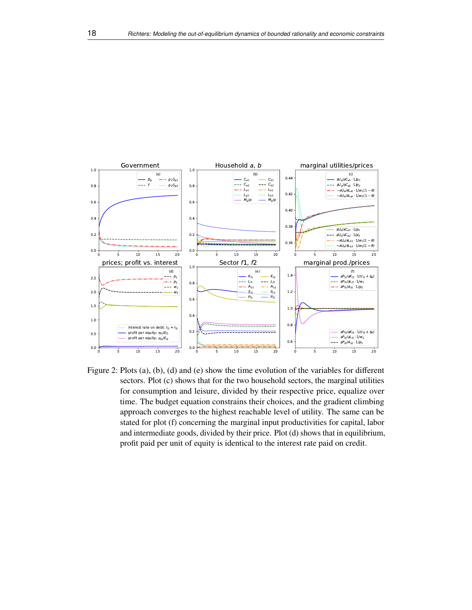

<span id="page-17-0"></span>Figure 2: Plots (a), (b), (d) and (e) show the time evolution of the variables for different sectors. Plot (c) shows that for the two household sectors, the marginal utilities for consumption and leisure, divided by their respective price, equalize over time. The budget equation constrains their choices, and the gradient climbing approach converges to the highest reachable level of utility. The same can be stated for plot (f) concerning the marginal input productivities for capital, labor and intermediate goods, divided by their price. Plot (d) shows that in equilibrium, profit paid per unit of equity is identical to the interest rate paid on credit.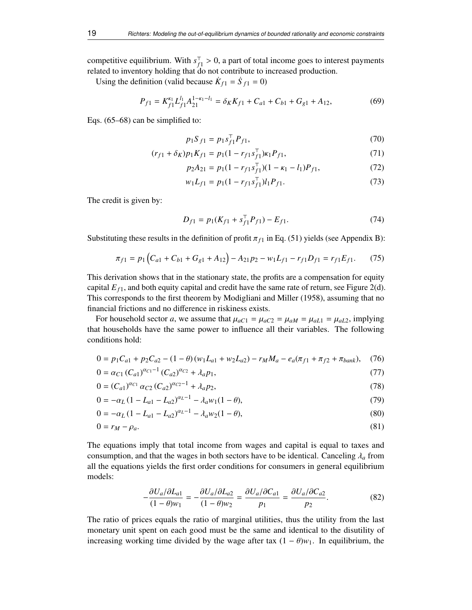competitive equilibrium. With  $s_f^{\dagger}$  $f_1 > 0$ , a part of total income goes to interest payments<br>do not contribute to increased production related to inventory holding that do not contribute to increased production.

Using the definition (valid because  $\dot{K}_{f1} = \dot{S}_{f1} = 0$ )

$$
P_{f1} = K_{f1}^{\kappa_1} L_{f1}^{l_1} A_{21}^{1-\kappa_1-l_1} = \delta_K K_{f1} + C_{a1} + C_{b1} + G_{g1} + A_{12},\tag{69}
$$

Eqs. [\(65–](#page-16-1)[68\)](#page-16-2) can be simplified to:

−

$$
p_1 S_{f1} = p_1 s_{f1}^{\top} P_{f1},\tag{70}
$$

$$
(r_{f1} + \delta_K)p_1K_{f1} = p_1(1 - r_{f1} s_{f1}^{\top})\kappa_1 P_{f1},
$$
\n(71)

$$
p_2 A_{21} = p_1 (1 - r_{f1} s_{f1}^{\top}) (1 - \kappa_1 - l_1) P_{f1},
$$
\n(72)

$$
w_1 L_{f1} = p_1 (1 - r_{f1} s_{f1}^{\top}) l_1 P_{f1}.
$$
 (73)

The credit is given by:

$$
D_{f1} = p_1(K_{f1} + s_{f1}^T P_{f1}) - E_{f1}.
$$
 (74)

Substituting these results in the definition of profit  $\pi_{f_1}$  in Eq. [\(51\)](#page-14-2) yields (see Appendix [B\)](#page-31-1):

$$
\pi_{f1} = p_1 \left( C_{a1} + C_{b1} + G_{g1} + A_{12} \right) - A_{21} p_2 - w_1 L_{f1} - r_{f1} D_{f1} = r_{f1} E_{f1}.
$$
 (75)

This derivation shows that in the stationary state, the profits are a compensation for equity capital  $E_{f1}$ , and both equity capital and credit have the same rate of return, see Figure [2\(](#page-17-0)d). This corresponds to the first theorem by Modigliani and Miller [\(1958\)](#page-30-17), assuming that no financial frictions and no difference in riskiness exists.

For household sector *a*, we assume that  $\mu_{aC1} = \mu_{aC2} = \mu_{aM} = \mu_{aL1} = \mu_{aL2}$ , implying that households have the same power to influence all their variables. The following conditions hold:

$$
0 = p_1 C_{a1} + p_2 C_{a2} - (1 - \theta) (w_1 L_{a1} + w_2 L_{a2}) - r_M M_a - e_a (\pi_{f1} + \pi_{f2} + \pi_{bank}), \tag{76}
$$

$$
0 = \alpha_{C1} (C_{a1})^{\alpha_{C1} - 1} (C_{a2})^{\alpha_{C2}} + \lambda_a p_1,
$$
\n(77)

$$
0 = (C_{a1})^{\alpha_{C1}} \alpha_{C2} (C_{a2})^{\alpha_{C2} - 1} + \lambda_a p_2,
$$
\n(78)

$$
0 = -\alpha_L (1 - L_{a1} - L_{a2})^{\alpha_L - 1} - \lambda_a w_1 (1 - \theta),
$$
\n(79)

$$
0 = -\alpha_L (1 - L_{a1} - L_{a2})^{\alpha_L - 1} - \lambda_a w_2 (1 - \theta),
$$
\n(80)

$$
0 = r_M - \rho_a. \tag{81}
$$

The equations imply that total income from wages and capital is equal to taxes and consumption, and that the wages in both sectors have to be identical. Canceling  $\lambda_a$  from all the equations yields the first order conditions for consumers in general equilibrium models:

$$
-\frac{\partial U_a/\partial L_{a1}}{(1-\theta)w_1} = -\frac{\partial U_a/\partial L_{a2}}{(1-\theta)w_2} = \frac{\partial U_a/\partial C_{a1}}{p_1} = \frac{\partial U_a/\partial C_{a2}}{p_2}.
$$
(82)

The ratio of prices equals the ratio of marginal utilities, thus the utility from the last monetary unit spent on each good must be the same and identical to the disutility of increasing working time divided by the wage after tax  $(1 - \theta)w_1$ . In equilibrium, the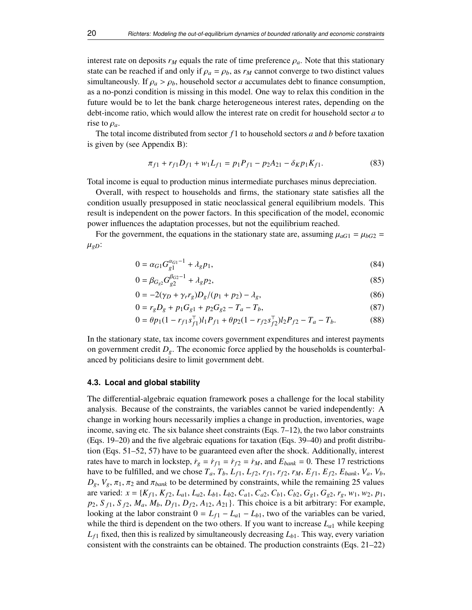interest rate on deposits  $r_M$  equals the rate of time preference  $\rho_a$ . Note that this stationary state can be reached if and only if  $\rho_a = \rho_b$ , as  $r_M$  cannot converge to two distinct values simultaneously. If  $\rho_a > \rho_b$ , household sector *a* accumulates debt to finance consumption, as a no-ponzi condition is missing in this model. One way to relax this condition in the future would be to let the bank charge heterogeneous interest rates, depending on the debt-income ratio, which would allow the interest rate on credit for household sector *a* to rise to  $\rho_a$ .

The total income distributed from sector *f* 1 to household sectors *a* and *b* before taxation is given by (see Appendix [B\)](#page-31-1):

$$
\pi_{f1} + r_{f1}D_{f1} + w_1L_{f1} = p_1P_{f1} - p_2A_{21} - \delta_K p_1K_{f1}.
$$
\n(83)

Total income is equal to production minus intermediate purchases minus depreciation.

Overall, with respect to households and firms, the stationary state satisfies all the condition usually presupposed in static neoclassical general equilibrium models. This result is independent on the power factors. In this specification of the model, economic power influences the adaptation processes, but not the equilibrium reached.

For the government, the equations in the stationary state are, assuming  $\mu_{aG1} = \mu_{bG2}$  $\mu_{gD}$ :

$$
0 = \alpha_{G1} G_{g1}^{\alpha_{G1} - 1} + \lambda_g p_1,\tag{84}
$$

$$
0 = \beta_{G_{g2}} G_{g2}^{G_{G2}-1} + \lambda_g p_2, \tag{85}
$$

$$
0 = -2(\gamma_D + \gamma_r r_g)D_g/(p_1 + p_2) - \lambda_g,
$$
\n(86)

$$
0 = r_g D_g + p_1 G_{g1} + p_2 G_{g2} - T_a - T_b,
$$
\n
$$
0 = \theta_D (1 - r_{g1} c^T) L B_{g1} + \theta_D (1 - r_{g2} c^T) L B_{g2} - T_a - T_b
$$
\n(87)

$$
0 = \theta p_1 (1 - r_{f1} s_{f1}^{\top}) l_1 P_{f1} + \theta p_2 (1 - r_{f2} s_{f2}^{\top}) l_2 P_{f2} - T_a - T_b.
$$
 (88)

In the stationary state, tax income covers government expenditures and interest payments on government credit  $D_g$ . The economic force applied by the households is counterbalanced by politicians desire to limit government debt.

#### **4.3. Local and global stability**

The differential-algebraic equation framework poses a challenge for the local stability analysis. Because of the constraints, the variables cannot be varied independently: A change in working hours necessarily implies a change in production, inventories, wage income, saving etc. The six balance sheet constraints (Eqs. [7–](#page-7-0)[12\)](#page-7-1), the two labor constraints (Eqs. [19–](#page-9-2)[20\)](#page-9-3) and the five algebraic equations for taxation (Eqs. [39–](#page-12-0)[40\)](#page-12-1) and profit distribution (Eqs. [51](#page-14-2)[–52,](#page-14-3) [57\)](#page-15-1) have to be guaranteed even after the shock. Additionally, interest rates have to march in lockstep,  $\dot{r}_g = \dot{r}_{f1} = \dot{r}_{f2} = \dot{r}_M$ , and  $E_{bank} = 0$ . These 17 restrictions have to be fulfilled, and we chose  $T_a$ ,  $T_b$ ,  $L_{f1}$ ,  $L_{f2}$ ,  $r_{f1}$ ,  $r_{f2}$ ,  $r_M$ ,  $E_{f1}$ ,  $E_{f2}$ ,  $E_{bank}$ ,  $V_a$ ,  $V_b$ ,  $D_g$ ,  $V_g$ ,  $\pi_1$ ,  $\pi_2$  and  $\pi_{bank}$  to be determined by constraints, while the remaining 25 values are varied:  $x = \{K_{f1}, K_{f2}, L_{a1}, L_{a2}, L_{b1}, L_{b2}, C_{a1}, C_{a2}, C_{b1}, C_{b2}, G_{g1}, G_{g2}, r_g, w_1, w_2, p_1,$  $p_2$ ,  $S_{f1}$ ,  $S_{f2}$ ,  $M_a$ ,  $M_b$ ,  $D_{f1}$ ,  $D_{f2}$ ,  $A_{12}$ ,  $A_{21}$ }. This choice is a bit arbitrary: For example, looking at the labor constraint  $0 = L_{f1} - L_{a1} - L_{b1}$ , two of the variables can be varied, while the third is dependent on the two others. If you want to increase *La*<sup>1</sup> while keeping  $L_{f1}$  fixed, then this is realized by simultaneously decreasing  $L_{b1}$ . This way, every variation consistent with the constraints can be obtained. The production constraints (Eqs. [21](#page-10-0)[–22\)](#page-10-1)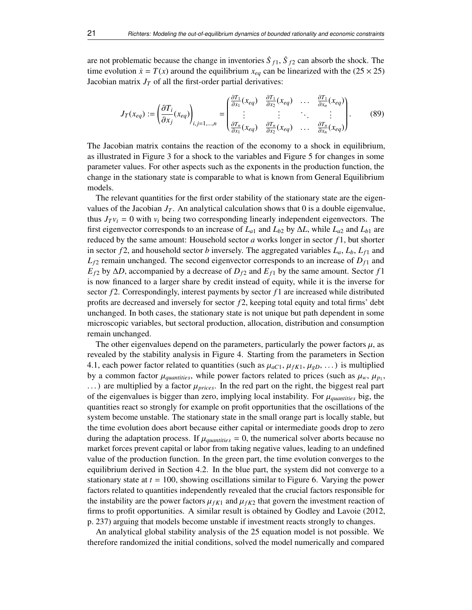are not problematic because the change in inventories  $\dot{S}_{f1}$ ,  $\dot{S}_{f2}$  can absorb the shock. The time evolution  $\dot{x} = T(x)$  around the equilibrium  $x_{eq}$  can be linearized with the (25  $\times$  25) Jacobian matrix  $J_T$  of all the first-order partial derivatives:

<span id="page-20-0"></span>
$$
J_T(x_{eq}) := \left(\frac{\partial T_i}{\partial x_j}(x_{eq})\right)_{i,j=1,\dots,n} = \begin{pmatrix} \frac{\partial T_1}{\partial x_1}(x_{eq}) & \frac{\partial T_1}{\partial x_2}(x_{eq}) & \dots & \frac{\partial T_1}{\partial x_n}(x_{eq})\\ \vdots & \vdots & \ddots & \vdots\\ \frac{\partial T_n}{\partial x_1}(x_{eq}) & \frac{\partial T_n}{\partial x_2}(x_{eq}) & \dots & \frac{\partial T_n}{\partial x_n}(x_{eq}) \end{pmatrix}.
$$
(89)

The Jacobian matrix contains the reaction of the economy to a shock in equilibrium, as illustrated in Figure [3](#page-21-0) for a shock to the variables and Figure [5](#page-23-0) for changes in some parameter values. For other aspects such as the exponents in the production function, the change in the stationary state is comparable to what is known from General Equilibrium models.

The relevant quantities for the first order stability of the stationary state are the eigenvalues of the Jacobian  $J_T$ . An analytical calculation shows that 0 is a double eigenvalue, thus  $J_T v_i = 0$  with  $v_i$  being two corresponding linearly independent eigenvectors. The first eigenvector corresponds to an increase of  $L_{a1}$  and  $L_{b2}$  by  $\Delta L$ , while  $L_{a2}$  and  $L_{b1}$  are reduced by the same amount: Household sector *a* works longer in sector *f* 1, but shorter in sector  $f2$ , and household sector *b* inversely. The aggregated variables  $L_a$ ,  $L_b$ ,  $L_f$  and  $L_f$ <sup>2</sup> remain unchanged. The second eigenvector corresponds to an increase of  $D_f$ <sup>1</sup> and  $E_{f2}$  by  $\Delta D$ , accompanied by a decrease of  $D_{f2}$  and  $E_{f1}$  by the same amount. Sector *f* 1 is now financed to a larger share by credit instead of equity, while it is the inverse for sector  $f_2$ . Correspondingly, interest payments by sector  $f_1$  are increased while distributed profits are decreased and inversely for sector *f* 2, keeping total equity and total firms' debt unchanged. In both cases, the stationary state is not unique but path dependent in some microscopic variables, but sectoral production, allocation, distribution and consumption remain unchanged.

The other eigenvalues depend on the parameters, particularly the power factors  $\mu$ , as revealed by the stability analysis in Figure [4.](#page-22-0) Starting from the parameters in Section [4.1,](#page-16-3) each power factor related to quantities (such as  $\mu_{aC1}, \mu_{fK1}, \mu_{gD}, \ldots$ ) is multiplied by a common factor  $\mu_{quantities}$ , while power factors related to prices (such as  $\mu_w$ ,  $\mu_p$ <sub>1</sub>,  $\mu_p$ <sup>1</sup>) are multiplied by a factor  $\mu_w$ . In the red part on the right, the biggest real part . . . ) are multiplied by a factor µ*prices*. In the red part on the right, the biggest real part of the eigenvalues is bigger than zero, implying local instability. For <sup>µ</sup>*quantities* big, the quantities react so strongly for example on profit opportunities that the oscillations of the system become unstable. The stationary state in the small orange part is locally stable, but the time evolution does abort because either capital or intermediate goods drop to zero during the adaptation process. If  $\mu_{quantities} = 0$ , the numerical solver aborts because no market forces prevent capital or labor from taking negative values, leading to an undefined value of the production function. In the green part, the time evolution converges to the equilibrium derived in Section [4.2.](#page-16-4) In the blue part, the system did not converge to a stationary state at  $t = 100$ , showing oscillations similar to Figure [6.](#page-25-0) Varying the power factors related to quantities independently revealed that the crucial factors responsible for the instability are the power factors  $\mu_{fK1}$  and  $\mu_{fK2}$  that govern the investment reaction of firms to profit opportunities. A similar result is obtained by Godley and Lavoie [\(2012,](#page-29-10) p. 237) arguing that models become unstable if investment reacts strongly to changes.

An analytical global stability analysis of the 25 equation model is not possible. We therefore randomized the initial conditions, solved the model numerically and compared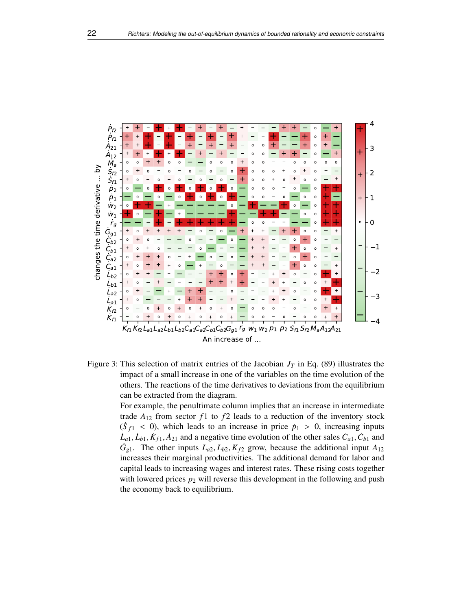

<span id="page-21-0"></span>Figure 3: This selection of matrix entries of the Jacobian  $J_T$  in Eq. [\(89\)](#page-20-0) illustrates the impact of a small increase in one of the variables on the time evolution of the others. The reactions of the time derivatives to deviations from the equilibrium can be extracted from the diagram.

> For example, the penultimate column implies that an increase in intermediate trade  $A_{12}$  from sector  $f_1$  to  $f_2$  leads to a reduction of the inventory stock  $(\dot{S}_{f1} < 0)$ , which leads to an increase in price  $\dot{p}_1 > 0$ , increasing inputs  $\dot{I}_{f1}$ ,  $\dot{I}_{f2}$ ,  $\dot{K}_{g1}$ ,  $\dot{A}_{g2}$  and a negative time evolution of the other sales  $\dot{C}_{f1}$ ,  $\dot{C}_{f2}$  and  $\dot{L}_{a1}$ ,  $\dot{L}_{b1}$ ,  $\dot{K}_{f1}$ ,  $\dot{A}_{21}$  and a negative time evolution of the other sales  $\dot{C}_{a1}$ ,  $\dot{C}_{b1}$  and  $\dot{C}_{c1}$ . The other inputs  $I_{a2}$ ,  $I_{b2}$ ,  $K_{ca}$  grow, because the additional input  $A_{b2}$  $G_{g1}$ . The other inputs  $L_{a2}$ ,  $L_{b2}$ ,  $K_{f2}$  grow, because the additional input  $A_{12}$ increases their marginal productivities. The additional demand for labor and capital leads to increasing wages and interest rates. These rising costs together with lowered prices  $p_2$  will reverse this development in the following and push the economy back to equilibrium.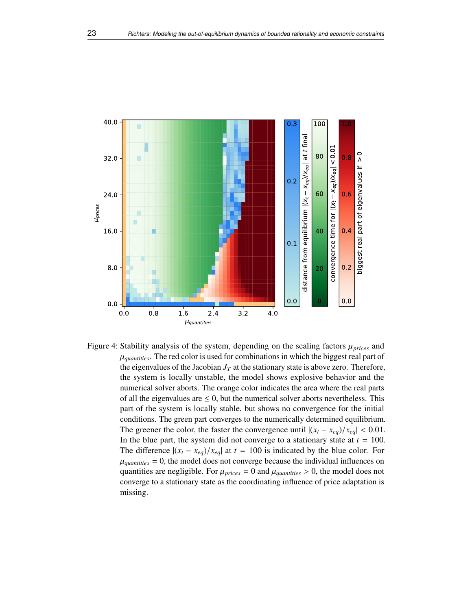

<span id="page-22-0"></span>Figure 4: Stability analysis of the system, depending on the scaling factors <sup>µ</sup>*prices* and  $\mu_{quantities}$ . The red color is used for combinations in which the biggest real part of the eigenvalues of the Jacobian  $J<sub>T</sub>$  at the stationary state is above zero. Therefore, the system is locally unstable, the model shows explosive behavior and the numerical solver aborts. The orange color indicates the area where the real parts of all the eigenvalues are  $\leq 0$ , but the numerical solver aborts nevertheless. This part of the system is locally stable, but shows no convergence for the initial conditions. The green part converges to the numerically determined equilibrium. The greener the color, the faster the convergence until  $|(x_t - x_{eq})/x_{eq}| < 0.01$ . In the blue part, the system did not converge to a stationary state at  $t = 100$ . The difference  $|(x_t - x_{eq})/x_{eq}|$  at  $t = 100$  is indicated by the blue color. For  $\mu_{quantities} = 0$ , the model does not converge because the individual influences on quantities are negligible. For  $\mu_{\text{prices}} = 0$  and  $\mu_{\text{quantities}} > 0$ , the model does not converge to a stationary state as the coordinating influence of price adaptation is missing.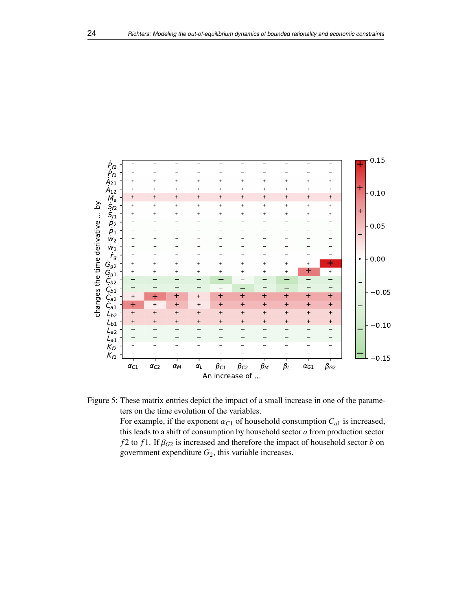



<span id="page-23-0"></span>For example, if the exponent  $\alpha_{C1}$  of household consumption  $C_{a1}$  is increased, this leads to a shift of consumption by household sector *a* from production sector *f* 2 to *f* 1. If  $\beta_{G2}$  is increased and therefore the impact of household sector *b* on government expenditure *G*2, this variable increases.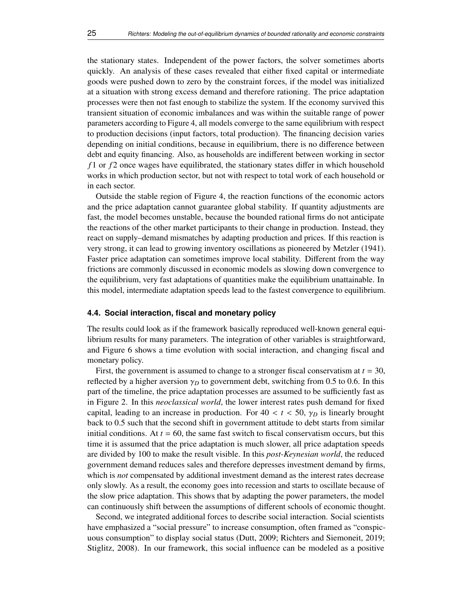the stationary states. Independent of the power factors, the solver sometimes aborts quickly. An analysis of these cases revealed that either fixed capital or intermediate goods were pushed down to zero by the constraint forces, if the model was initialized at a situation with strong excess demand and therefore rationing. The price adaptation processes were then not fast enough to stabilize the system. If the economy survived this transient situation of economic imbalances and was within the suitable range of power parameters according to Figure [4,](#page-22-0) all models converge to the same equilibrium with respect to production decisions (input factors, total production). The financing decision varies depending on initial conditions, because in equilibrium, there is no difference between debt and equity financing. Also, as households are indifferent between working in sector *f* 1 or *f* 2 once wages have equilibrated, the stationary states differ in which household works in which production sector, but not with respect to total work of each household or in each sector.

Outside the stable region of Figure [4,](#page-22-0) the reaction functions of the economic actors and the price adaptation cannot guarantee global stability. If quantity adjustments are fast, the model becomes unstable, because the bounded rational firms do not anticipate the reactions of the other market participants to their change in production. Instead, they react on supply–demand mismatches by adapting production and prices. If this reaction is very strong, it can lead to growing inventory oscillations as pioneered by Metzler [\(1941\)](#page-29-24). Faster price adaptation can sometimes improve local stability. Different from the way frictions are commonly discussed in economic models as slowing down convergence to the equilibrium, very fast adaptations of quantities make the equilibrium unattainable. In this model, intermediate adaptation speeds lead to the fastest convergence to equilibrium.

## <span id="page-24-0"></span>**4.4. Social interaction, fiscal and monetary policy**

The results could look as if the framework basically reproduced well-known general equilibrium results for many parameters. The integration of other variables is straightforward, and Figure [6](#page-25-0) shows a time evolution with social interaction, and changing fiscal and monetary policy.

First, the government is assumed to change to a stronger fiscal conservatism at *t* = 30, reflected by a higher aversion  $\gamma_D$  to government debt, switching from 0.5 to 0.6. In this part of the timeline, the price adaptation processes are assumed to be sufficiently fast as in Figure [2.](#page-17-0) In this *neoclassical world*, the lower interest rates push demand for fixed capital, leading to an increase in production. For  $40 < t < 50$ ,  $\gamma_D$  is linearly brought back to <sup>0</sup>.<sup>5</sup> such that the second shift in government attitude to debt starts from similar initial conditions. At  $t = 60$ , the same fast switch to fiscal conservatism occurs, but this time it is assumed that the price adaptation is much slower, all price adaptation speeds are divided by 100 to make the result visible. In this *post-Keynesian world*, the reduced government demand reduces sales and therefore depresses investment demand by firms, which is *not* compensated by additional investment demand as the interest rates decrease only slowly. As a result, the economy goes into recession and starts to oscillate because of the slow price adaptation. This shows that by adapting the power parameters, the model can continuously shift between the assumptions of different schools of economic thought.

Second, we integrated additional forces to describe social interaction. Social scientists have emphasized a "social pressure" to increase consumption, often framed as "conspicuous consumption" to display social status (Dutt, [2009;](#page-28-18) Richters and Siemoneit, [2019;](#page-30-18) Stiglitz, [2008\)](#page-30-19). In our framework, this social influence can be modeled as a positive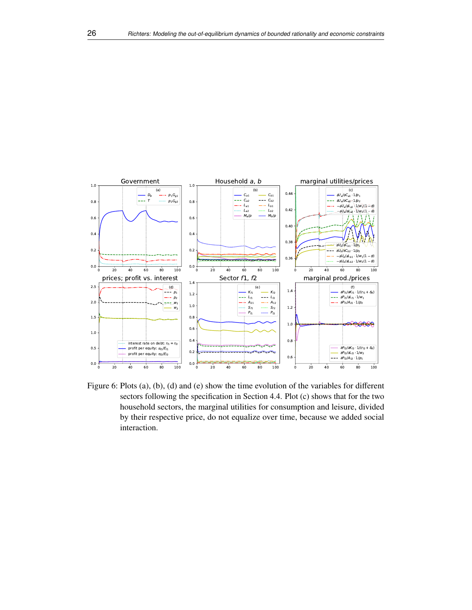

<span id="page-25-0"></span>Figure 6: Plots (a), (b), (d) and (e) show the time evolution of the variables for different sectors following the specification in Section [4.4.](#page-24-0) Plot (c) shows that for the two household sectors, the marginal utilities for consumption and leisure, divided by their respective price, do not equalize over time, because we added social interaction.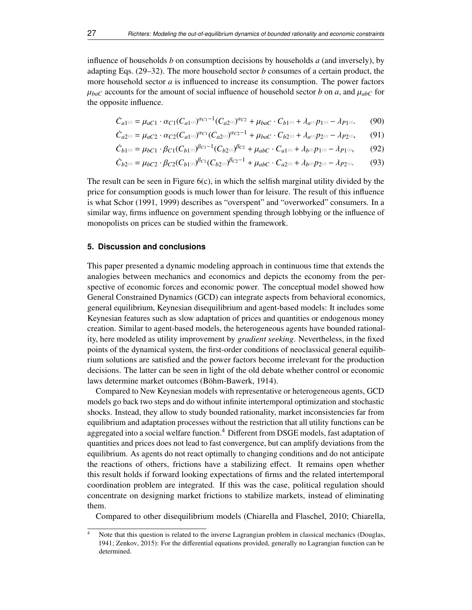influence of households *b* on consumption decisions by households *a* (and inversely), by adapting Eqs. [\(29](#page-11-2)[–32\)](#page-11-3). The more household sector *b* consumes of a certain product, the more household sector *a* is influenced to increase its consumption. The power factors  $\mu_{bac}$  accounts for the amount of social influence of household sector *b* on *a*, and  $\mu_{abc}$  for the opposite influence.

$$
\dot{C}_{a1^{(i)}} = \mu_{aC1} \cdot \alpha_{C1} (C_{a1^{(i)}})^{\alpha_{C1} - 1} (C_{a2^{(i)}})^{\alpha_{C2}} + \mu_{bac} \cdot C_{b1^{(i)}} + \lambda_{a^{(i)}} p_{1^{(i)}} - \lambda_{P1^{(i)}}. \tag{90}
$$

$$
\dot{C}_{a2^{(t)}} = \mu_{aC2} \cdot \alpha_{C2} (C_{a1^{(t)}})^{\alpha_{C1}} (C_{a2^{(t)}})^{\alpha_{C2} - 1} + \mu_{bac} \cdot C_{b2^{(t)}} + \lambda_{a^{(t)}} p_{2^{(t)}} - \lambda_{p_{2^{(t)}}},
$$
(91)

$$
\dot{C}_{b1^{(t)}} = \mu_{bC1} \cdot \beta_{C1} (C_{b1^{(t)}})^{\beta_{C1} - 1} (C_{b2^{(t)}})^{\beta_{C2}} + \mu_{abc} \cdot C_{a1^{(t)}} + \lambda_{b^{(t)}} p_{1^{(t)}} - \lambda_{P1^{(t)}},
$$
(92)

$$
\dot{C}_{b2^{(i)}} = \mu_{bC2} \cdot \beta_{C2} (C_{b1^{(i)}})^{\beta_{C1}} (C_{b2^{(i)}})^{\beta_{C2} - 1} + \mu_{abc} \cdot C_{a2^{(i)}} + \lambda_{b^{(i)}} p_{2^{(i)}} - \lambda_{P2^{(i)}}.
$$
(93)

The result can be seen in Figure  $6(c)$ , in which the selfish marginal utility divided by the price for consumption goods is much lower than for leisure. The result of this influence is what Schor [\(1991,](#page-30-20) [1999\)](#page-30-21) describes as "overspent" and "overworked" consumers. In a similar way, firms influence on government spending through lobbying or the influence of monopolists on prices can be studied within the framework.

## <span id="page-26-0"></span>**5. Discussion and conclusions**

This paper presented a dynamic modeling approach in continuous time that extends the analogies between mechanics and economics and depicts the economy from the perspective of economic forces and economic power. The conceptual model showed how General Constrained Dynamics (GCD) can integrate aspects from behavioral economics, general equilibrium, Keynesian disequilibrium and agent-based models: It includes some Keynesian features such as slow adaptation of prices and quantities or endogenous money creation. Similar to agent-based models, the heterogeneous agents have bounded rationality, here modeled as utility improvement by *gradient seeking*. Nevertheless, in the fixed points of the dynamical system, the first-order conditions of neoclassical general equilibrium solutions are satisfied and the power factors become irrelevant for the production decisions. The latter can be seen in light of the old debate whether control or economic laws determine market outcomes (Böhm-Bawerk, [1914\)](#page-28-19).

Compared to New Keynesian models with representative or heterogeneous agents, GCD models go back two steps and do without infinite intertemporal optimization and stochastic shocks. Instead, they allow to study bounded rationality, market inconsistencies far from equilibrium and adaptation processes without the restriction that all utility functions can be aggregated into a social welfare function.[4](#page-26-1) Different from DSGE models, fast adaptation of quantities and prices does not lead to fast convergence, but can amplify deviations from the equilibrium. As agents do not react optimally to changing conditions and do not anticipate the reactions of others, frictions have a stabilizing effect. It remains open whether this result holds if forward looking expectations of firms and the related intertemporal coordination problem are integrated. If this was the case, political regulation should concentrate on designing market frictions to stabilize markets, instead of eliminating them.

Compared to other disequilibrium models (Chiarella and Flaschel, [2010;](#page-28-20) Chiarella,

<span id="page-26-1"></span>Note that this question is related to the inverse Lagrangian problem in classical mechanics (Douglas, [1941;](#page-28-21) Zenkov, [2015\)](#page-30-22): For the differential equations provided, generally no Lagrangian function can be determined.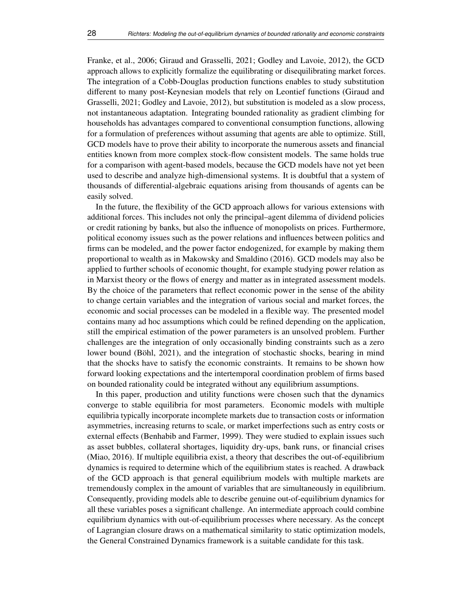Franke, et al., [2006;](#page-28-22) Giraud and Grasselli, [2021;](#page-29-19) Godley and Lavoie, [2012\)](#page-29-10), the GCD approach allows to explicitly formalize the equilibrating or disequilibrating market forces. The integration of a Cobb-Douglas production functions enables to study substitution different to many post-Keynesian models that rely on Leontief functions (Giraud and Grasselli, [2021;](#page-29-19) Godley and Lavoie, [2012\)](#page-29-10), but substitution is modeled as a slow process, not instantaneous adaptation. Integrating bounded rationality as gradient climbing for households has advantages compared to conventional consumption functions, allowing for a formulation of preferences without assuming that agents are able to optimize. Still, GCD models have to prove their ability to incorporate the numerous assets and financial entities known from more complex stock-flow consistent models. The same holds true for a comparison with agent-based models, because the GCD models have not yet been used to describe and analyze high-dimensional systems. It is doubtful that a system of thousands of differential-algebraic equations arising from thousands of agents can be easily solved.

In the future, the flexibility of the GCD approach allows for various extensions with additional forces. This includes not only the principal–agent dilemma of dividend policies or credit rationing by banks, but also the influence of monopolists on prices. Furthermore, political economy issues such as the power relations and influences between politics and firms can be modeled, and the power factor endogenized, for example by making them proportional to wealth as in Makowsky and Smaldino [\(2016\)](#page-29-25). GCD models may also be applied to further schools of economic thought, for example studying power relation as in Marxist theory or the flows of energy and matter as in integrated assessment models. By the choice of the parameters that reflect economic power in the sense of the ability to change certain variables and the integration of various social and market forces, the economic and social processes can be modeled in a flexible way. The presented model contains many ad hoc assumptions which could be refined depending on the application, still the empirical estimation of the power parameters is an unsolved problem. Further challenges are the integration of only occasionally binding constraints such as a zero lower bound (Böhl, [2021\)](#page-28-23), and the integration of stochastic shocks, bearing in mind that the shocks have to satisfy the economic constraints. It remains to be shown how forward looking expectations and the intertemporal coordination problem of firms based on bounded rationality could be integrated without any equilibrium assumptions.

In this paper, production and utility functions were chosen such that the dynamics converge to stable equilibria for most parameters. Economic models with multiple equilibria typically incorporate incomplete markets due to transaction costs or information asymmetries, increasing returns to scale, or market imperfections such as entry costs or external effects (Benhabib and Farmer, [1999\)](#page-28-24). They were studied to explain issues such as asset bubbles, collateral shortages, liquidity dry-ups, bank runs, or financial crises (Miao, [2016\)](#page-29-26). If multiple equilibria exist, a theory that describes the out-of-equilibrium dynamics is required to determine which of the equilibrium states is reached. A drawback of the GCD approach is that general equilibrium models with multiple markets are tremendously complex in the amount of variables that are simultaneously in equilibrium. Consequently, providing models able to describe genuine out-of-equilibrium dynamics for all these variables poses a significant challenge. An intermediate approach could combine equilibrium dynamics with out-of-equilibrium processes where necessary. As the concept of Lagrangian closure draws on a mathematical similarity to static optimization models, the General Constrained Dynamics framework is a suitable candidate for this task.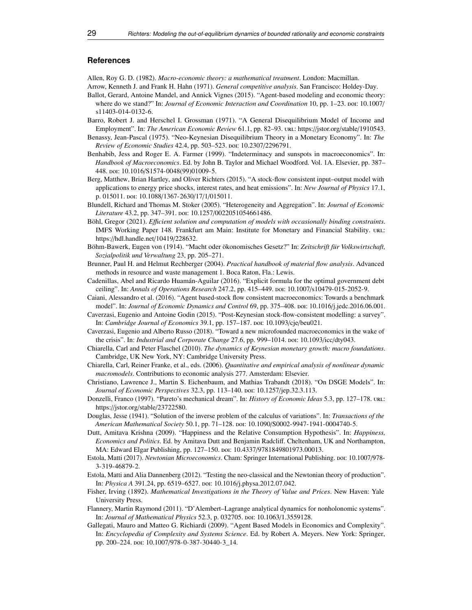#### **References**

<span id="page-28-2"></span>Allen, Roy G. D. (1982). *Macro-economic theory: a mathematical treatment*. London: Macmillan.

- <span id="page-28-7"></span>Arrow, Kenneth J. and Frank H. Hahn (1971). *General competitive analysis*. San Francisco: Holdey-Day.
- <span id="page-28-12"></span>Ballot, Gerard, Antoine Mandel, and Annick Vignes (2015). "Agent-based modeling and economic theory: where do we stand?" In: *Journal of Economic Interaction and Coordination* 10, pp. 1–23. poi: [10.1007](https://doi.org/10.1007/s11403-014-0132-6)/ [s11403-014-0132-6.](https://doi.org/10.1007/s11403-014-0132-6)
- <span id="page-28-9"></span>Barro, Robert J. and Herschel I. Grossman (1971). "A General Disequilibrium Model of Income and Employment". In: *The American Economic Review* 61.1, pp. 82–93. url: https://jstor.org/stable/[1910543.](https://jstor.org/stable/1910543)
- <span id="page-28-10"></span>Benassy, Jean-Pascal (1975). "Neo-Keynesian Disequilibrium Theory in a Monetary Economy". In: *The Review of Economic Studies* 42.4, pp. 503–523. poi: 10.2307/[2296791.](https://doi.org/10.2307/2296791)
- <span id="page-28-24"></span>Benhabib, Jess and Roger E. A. Farmer (1999). "Indeterminacy and sunspots in macroeconomics". In: *Handbook of Macroeconomics*. Ed. by John B. Taylor and Michael Woodford. Vol. 1A. Elsevier, pp. 387– 448. doi: 10.1016/[S1574-0048\(99\)01009-5.](https://doi.org/10.1016/S1574-0048(99)01009-5)
- <span id="page-28-17"></span>Berg, Matthew, Brian Hartley, and Oliver Richters (2015). "A stock-flow consistent input–output model with applications to energy price shocks, interest rates, and heat emissions". In: *New Journal of Physics* 17.1, p. 015011. doi: 10.1088/[1367-2630](https://doi.org/10.1088/1367-2630/17/1/015011)/17/1/015011.
- <span id="page-28-4"></span>Blundell, Richard and Thomas M. Stoker (2005). "Heterogeneity and Aggregation". In: *Journal of Economic* Literature 43.2, pp. 347-391. poi: 10.1257/[0022051054661486.](https://doi.org/10.1257/0022051054661486)
- <span id="page-28-23"></span>Böhl, Gregor (2021). *E*ffi*cient solution and computation of models with occasionally binding constraints*. IMFS Working Paper 148. Frankfurt am Main: Institute for Monetary and Financial Stability. url: https://[hdl.handle.net](https://hdl.handle.net/10419/228632)/10419/228632.
- <span id="page-28-19"></span>Böhm-Bawerk, Eugen von (1914). "Macht oder ökonomisches Gesetz?" In: *Zeitschrift für Volkswirtschaft, Sozialpolitik und Verwaltung* 23, pp. 205–271.
- <span id="page-28-3"></span>Brunner, Paul H. and Helmut Rechberger (2004). *Practical handbook of material flow analysis*. Advanced methods in resource and waste management 1. Boca Raton, Fla.: Lewis.
- <span id="page-28-16"></span>Cadenillas, Abel and Ricardo Huamán-Aguilar (2016). "Explicit formula for the optimal government debt ceiling". In: *Annals of Operations Research* 247.2, pp. 415–449. doi: 10.1007/[s10479-015-2052-9.](https://doi.org/10.1007/s10479-015-2052-9)
- <span id="page-28-13"></span>Caiani, Alessandro et al. (2016). "Agent based-stock flow consistent macroeconomics: Towards a benchmark model". In: *Journal of Economic Dynamics and Control* 69, pp. 375–408. boi: 10.1016/[j.jedc.2016.06.001.](https://doi.org/10.1016/j.jedc.2016.06.001)
- <span id="page-28-11"></span>Caverzasi, Eugenio and Antoine Godin (2015). "Post-Keynesian stock-flow-consistent modelling: a survey". In: *Cambridge Journal of Economics* 39.1, pp. 157–187. doi: [10.1093](https://doi.org/10.1093/cje/beu021)/cje/beu021.
- <span id="page-28-14"></span>Caverzasi, Eugenio and Alberto Russo (2018). "Toward a new microfounded macroeconomics in the wake of the crisis". In: *Industrial and Corporate Change* 27.6, pp. 999–1014. poi: [10.1093](https://doi.org/10.1093/icc/dty043)/icc/dty043.
- <span id="page-28-20"></span>Chiarella, Carl and Peter Flaschel (2010). *The dynamics of Keynesian monetary growth: macro foundations*. Cambridge, UK New York, NY: Cambridge University Press.
- <span id="page-28-22"></span>Chiarella, Carl, Reiner Franke, et al., eds. (2006). *Quantitative and empirical analysis of nonlinear dynamic macromodels*. Contributions to economic analysis 277. Amsterdam: Elsevier.
- <span id="page-28-5"></span>Christiano, Lawrence J., Martin S. Eichenbaum, and Mathias Trabandt (2018). "On DSGE Models". In: *Journal of Economic Perspectives* 32.3, pp. 113–140. doi: 10.1257/[jep.32.3.113.](https://doi.org/10.1257/jep.32.3.113)
- <span id="page-28-1"></span>Donzelli, Franco (1997). "Pareto's mechanical dream". In: *History of Economic Ideas* 5.3, pp. 127–178. url: https://jstor.org/stable/[23722580.](https://jstor.org/stable/23722580)
- <span id="page-28-21"></span>Douglas, Jesse (1941). "Solution of the inverse problem of the calculus of variations". In: *Transactions of the American Mathematical Society* 50.1, pp. 71–128. doi: 10.1090/[S0002-9947-1941-0004740-5.](https://doi.org/10.1090/S0002-9947-1941-0004740-5)
- <span id="page-28-18"></span>Dutt, Amitava Krishna (2009). "Happiness and the Relative Consumption Hypothesis". In: *Happiness, Economics and Politics*. Ed. by Amitava Dutt and Benjamin Radcliff. Cheltenham, UK and Northampton, MA: Edward Elgar Publishing, pp. 127-150. poi: 10.4337/[9781849801973.00013.](https://doi.org/10.4337/9781849801973.00013)
- <span id="page-28-8"></span>Estola, Matti (2017). *Newtonian Microeconomics*. Cham: Springer International Publishing. doi: [10.1007](https://doi.org/10.1007/978-3-319-46879-2)/978- [3-319-46879-2.](https://doi.org/10.1007/978-3-319-46879-2)
- <span id="page-28-15"></span>Estola, Matti and Alia Dannenberg (2012). "Testing the neo-classical and the Newtonian theory of production". In: *Physica A* 391.24, pp. 6519–6527. doi: 10.1016/[j.physa.2012.07.042.](https://doi.org/10.1016/j.physa.2012.07.042)
- Fisher, Irving (1892). *Mathematical Investigations in the Theory of Value and Prices*. New Haven: Yale University Press.
- <span id="page-28-0"></span>Flannery, Martin Raymond (2011). "D'Alembert–Lagrange analytical dynamics for nonholonomic systems". In: *Journal of Mathematical Physics* 52.3, p. 032705. doi: 10.1063/[1.3559128.](https://doi.org/10.1063/1.3559128)
- <span id="page-28-6"></span>Gallegati, Mauro and Matteo G. Richiardi (2009). "Agent Based Models in Economics and Complexity". In: *Encyclopedia of Complexity and Systems Science*. Ed. by Robert A. Meyers. New York: Springer, pp. 200-224. poi: 10.1007/[978-0-387-30440-3\\_14.](https://doi.org/10.1007/978-0-387-30440-3_14)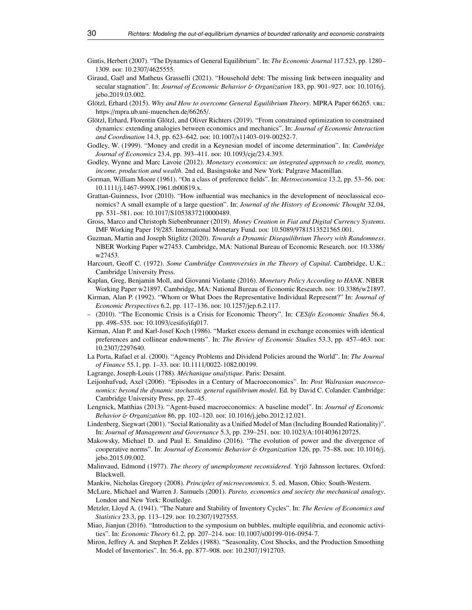- <span id="page-29-16"></span>Gintis, Herbert (2007). "The Dynamics of General Equilibrium". In: *The Economic Journal* 117.523, pp. 1280– 1309. poi: 10.2307/[4625555.](https://doi.org/10.2307/4625555)
- <span id="page-29-19"></span>Giraud, Gaël and Matheus Grasselli (2021). "Household debt: The missing link between inequality and secular stagnation". In: *Journal of Economic Behavior* & *Organization* 183, pp. 901–927. por: [10.1016](https://doi.org/10.1016/j.jebo.2019.03.002)/j. [jebo.2019.03.002.](https://doi.org/10.1016/j.jebo.2019.03.002)
- <span id="page-29-1"></span>Glötzl, Erhard (2015). *Why and How to overcome General Equilibrium Theory*. MPRA Paper 66265. url: https://[mpra.ub.uni-muenchen.de](https://mpra.ub.uni-muenchen.de/66265/)/66265/.
- <span id="page-29-0"></span>Glötzl, Erhard, Florentin Glötzl, and Oliver Richters (2019). "From constrained optimization to constrained dynamics: extending analogies between economics and mechanics". In: *Journal of Economic Interaction and Coordination* 14.3, pp. 623–642. por: 10.1007/[s11403-019-00252-7.](https://doi.org/10.1007/s11403-019-00252-7)
- <span id="page-29-18"></span>Godley, W. (1999). "Money and credit in a Keynesian model of income determination". In: *Cambridge Journal of Economics* 23.4, pp. 393–411. poi: 10.1093/cje/[23.4.393.](https://doi.org/10.1093/cje/23.4.393)
- <span id="page-29-10"></span>Godley, Wynne and Marc Lavoie (2012). *Monetary economics: an integrated approach to credit, money, income, production and wealth*. 2nd ed. Basingstoke and New York: Palgrave Macmillan.
- <span id="page-29-7"></span>Gorman, William Moore (1961). "On a class of preference fields". In: *Metroeconomica* 13.2, pp. 53–56. doi: 10.1111/[j.1467-999X.1961.tb00819.x.](https://doi.org/10.1111/j.1467-999X.1961.tb00819.x)
- <span id="page-29-4"></span>Grattan-Guinness, Ivor (2010). "How influential was mechanics in the development of neoclassical economics? A small example of a large question". In: *Journal of the History of Economic Thought* 32.04, pp. 531-581. poi: 10.1017/[S1053837210000489.](https://doi.org/10.1017/S1053837210000489)
- <span id="page-29-23"></span>Gross, Marco and Christoph Siebenbrunner (2019). *Money Creation in Fiat and Digital Currency Systems*. IMF Working Paper 19/285. International Monetary Fund. doi: 10.5089/[9781513521565.001.](https://doi.org/10.5089/9781513521565.001)
- <span id="page-29-13"></span>Guzman, Martin and Joseph Stiglitz (2020). *Towards a Dynamic Disequilibrium Theory with Randomness*. NBER Working Paper w27453. Cambridge, MA: National Bureau of Economic Research. doi: [10.3386](https://doi.org/10.3386/w27453)/ [w27453.](https://doi.org/10.3386/w27453)
- <span id="page-29-20"></span>Harcourt, Geoff C. (1972). *Some Cambridge Controversies in the Theory of Capital*. Cambridge, U.K.: Cambridge University Press.
- <span id="page-29-6"></span>Kaplan, Greg, Benjamin Moll, and Giovanni Violante (2016). *Monetary Policy According to HANK*. NBER Working Paper w21897. Cambridge, MA: National Bureau of Economic Research. doi: [10.3386](https://doi.org/10.3386/w21897)/w21897.
- <span id="page-29-8"></span>Kirman, Alan P. (1992). "Whom or What Does the Representative Individual Represent?" In: *Journal of Economic Perspectives* 6.2, pp. 117–136. poi: 10.1257/[jep.6.2.117.](https://doi.org/10.1257/jep.6.2.117)
- <span id="page-29-15"></span>– (2010). "The Economic Crisis is a Crisis for Economic Theory". In: *CESifo Economic Studies* 56.4, pp. 498–535. doi: [10.1093](https://doi.org/10.1093/cesifo/ifq017)/cesifo/ifq017.
- <span id="page-29-9"></span>Kirman, Alan P. and Karl-Josef Koch (1986). "Market excess demand in exchange economies with identical preferences and collinear endowments". In: *The Review of Economic Studies* 53.3, pp. 457–463. por: 10.2307/[2297640.](https://doi.org/10.2307/2297640)
- <span id="page-29-22"></span>La Porta, Rafael et al. (2000). "Agency Problems and Dividend Policies around the World". In: *The Journal of Finance* 55.1, pp. 1–33. doi: 10.1111/[0022-1082.00199.](https://doi.org/10.1111/0022-1082.00199)
- <span id="page-29-2"></span>Lagrange, Joseph-Louis (1788). *Méchanique analytique*. Paris: Desaint.
- <span id="page-29-3"></span>Leijonhufvud, Axel (2006). "Episodes in a Century of Macroeconomics". In: *Post Walrasian macroeconomics: beyond the dynamic stochastic general equilibrium model*. Ed. by David C. Colander. Cambridge: Cambridge University Press, pp. 27–45.
- <span id="page-29-17"></span>Lengnick, Matthias (2013). "Agent-based macroeconomics: A baseline model". In: *Journal of Economic Behavior* & *Organization* 86, pp. 102–120. doi: 10.1016/[j.jebo.2012.12.021.](https://doi.org/10.1016/j.jebo.2012.12.021)
- <span id="page-29-11"></span>Lindenberg, Siegwart (2001). "Social Rationality as a Unified Model of Man (Including Bounded Rationality)". In: *Journal of Management and Governance* 5.3, pp. 239–251. doi: 10.1023/[A:1014036120725.](https://doi.org/10.1023/A:1014036120725)
- <span id="page-29-25"></span>Makowsky, Michael D. and Paul E. Smaldino (2016). "The evolution of power and the divergence of cooperative norms". In: *Journal of Economic Behavior & Organization* 126, pp. 75–88. poi: [10.1016](https://doi.org/10.1016/j.jebo.2015.09.002)/j. [jebo.2015.09.002.](https://doi.org/10.1016/j.jebo.2015.09.002)
- <span id="page-29-14"></span>Malinvaud, Edmond (1977). *The theory of unemployment reconsidered*. Yrjö Jahnsson lectures. Oxford: Blackwell.
- <span id="page-29-12"></span>Mankiw, Nicholas Gregory (2008). *Principles of microeconomics*. 5. ed. Mason, Ohio: South-Western.
- <span id="page-29-5"></span>McLure, Michael and Warren J. Samuels (2001). *Pareto, economics and society the mechanical analogy*. London and New York: Routledge.
- <span id="page-29-24"></span>Metzler, Lloyd A. (1941). "The Nature and Stability of Inventory Cycles". In: *The Review of Economics and Statistics* 23.3, pp. 113-129. poi: 10.2307/[1927555.](https://doi.org/10.2307/1927555)
- <span id="page-29-26"></span>Miao, Jianjun (2016). "Introduction to the symposium on bubbles, multiple equilibria, and economic activities". In: *Economic Theory* 61.2, pp. 207–214. poi: 10.1007/[s00199-016-0954-7.](https://doi.org/10.1007/s00199-016-0954-7)
- <span id="page-29-21"></span>Miron, Jeffrey A. and Stephen P. Zeldes (1988). "Seasonality, Cost Shocks, and the Production Smoothing Model of Inventories". In: 56.4, pp. 877–908. poi: 10.2307/[1912703.](https://doi.org/10.2307/1912703)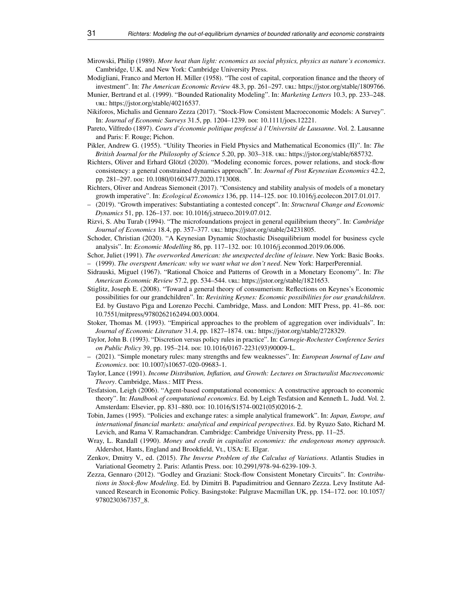- <span id="page-30-0"></span>Mirowski, Philip (1989). *More heat than light: economics as social physics, physics as nature's economics*. Cambridge, U.K. and New York: Cambridge University Press.
- <span id="page-30-17"></span>Modigliani, Franco and Merton H. Miller (1958). "The cost of capital, corporation finance and the theory of investment". In: *The American Economic Review* 48.3, pp. 261–297. url: https://jstor.org/stable/[1809766.](https://jstor.org/stable/1809766)
- <span id="page-30-7"></span>Munier, Bertrand et al. (1999). "Bounded Rationality Modeling". In: *Marketing Letters* 10.3, pp. 233–248. url: https://jstor.org/stable/[40216537.](https://jstor.org/stable/40216537)
- <span id="page-30-10"></span>Nikiforos, Michalis and Gennaro Zezza (2017). "Stock-Flow Consistent Macroeconomic Models: A Survey". In: *Journal of Economic Surveys* 31.5, pp. 1204–1239. doi: 10.1111/[joes.12221.](https://doi.org/10.1111/joes.12221)
- Pareto, Vilfredo (1897). *Cours d'économie politique professé à l'Université de Lausanne*. Vol. 2. Lausanne and Paris: F. Rouge; Pichon.
- <span id="page-30-1"></span>Pikler, Andrew G. (1955). "Utility Theories in Field Physics and Mathematical Economics (II)". In: *The British Journal for the Philosophy of Science* 5.20, pp. 303–318. url: https://[jstor.org](https://jstor.org/stable/685732)/stable/685732.
- <span id="page-30-8"></span>Richters, Oliver and Erhard Glötzl (2020). "Modeling economic forces, power relations, and stock-flow consistency: a general constrained dynamics approach". In: *Journal of Post Keynesian Economics* 42.2, pp. 281-297. por: 10.1080/[01603477.2020.1713008.](https://doi.org/10.1080/01603477.2020.1713008)
- <span id="page-30-11"></span>Richters, Oliver and Andreas Siemoneit (2017). "Consistency and stability analysis of models of a monetary growth imperative". In: *Ecological Economics* 136, pp. 114–125. doi: 10.1016/[j.ecolecon.2017.01.017.](https://doi.org/10.1016/j.ecolecon.2017.01.017)
- <span id="page-30-18"></span>– (2019). "Growth imperatives: Substantiating a contested concept". In: *Structural Change and Economic Dynamics* 51, pp. 126–137. poi: 10.1016/[j.strueco.2019.07.012.](https://doi.org/10.1016/j.strueco.2019.07.012)
- <span id="page-30-4"></span>Rizvi, S. Abu Turab (1994). "The microfoundations project in general equilibrium theory". In: *Cambridge Journal of Economics* 18.4, pp. 357–377. url: https://jstor.org/stable/[24231805.](https://jstor.org/stable/24231805)
- <span id="page-30-6"></span>Schoder, Christian (2020). "A Keynesian Dynamic Stochastic Disequilibrium model for business cycle analysis". In: *Economic Modelling* 86, pp. 117–132. doi: 10.1016/[j.econmod.2019.06.006.](https://doi.org/10.1016/j.econmod.2019.06.006)
- <span id="page-30-21"></span><span id="page-30-20"></span>Schor, Juliet (1991). *The overworked American: the unexpected decline of leisure*. New York: Basic Books. – (1999). *The overspent American: why we want what we don't need*. New York: HarperPerennial.
- <span id="page-30-13"></span>Sidrauski, Miguel (1967). "Rational Choice and Patterns of Growth in a Monetary Economy". In: *The American Economic Review* 57.2, pp. 534–544. url: https://jstor.org/stable/[1821653.](https://jstor.org/stable/1821653)
- <span id="page-30-19"></span>Stiglitz, Joseph E. (2008). "Toward a general theory of consumerism: Reflections on Keynes's Economic possibilities for our grandchildren". In: *Revisiting Keynes: Economic possibilities for our grandchildren*. Ed. by Gustavo Piga and Lorenzo Pecchi. Cambridge, Mass. and London: MIT Press, pp. 41–86. poi: 10.7551/mitpress/[9780262162494.003.0004.](https://doi.org/10.7551/mitpress/9780262162494.003.0004)
- <span id="page-30-5"></span>Stoker, Thomas M. (1993). "Empirical approaches to the problem of aggregation over individuals". In: Journal of Economic Literature 31.4, pp. 1827-1874. url: https://jstor.org/stable/[2728329.](https://jstor.org/stable/2728329)
- <span id="page-30-15"></span>Taylor, John B. (1993). "Discretion versus policy rules in practice". In: *Carnegie-Rochester Conference Series on Public Policy* 39, pp. 195–214. doi: 10.1016/[0167-2231\(93\)90009-L.](https://doi.org/10.1016/0167-2231(93)90009-L)
- <span id="page-30-16"></span>– (2021). "Simple monetary rules: many strengths and few weaknesses". In: *European Journal of Law and Economics*. doi: 10.1007/[s10657-020-09683-1.](https://doi.org/10.1007/s10657-020-09683-1)
- <span id="page-30-3"></span>Taylor, Lance (1991). *Income Distribution, Inflation, and Growth: Lectures on Structuralist Macroeconomic Theory*. Cambridge, Mass.: MIT Press.
- <span id="page-30-9"></span>Tesfatsion, Leigh (2006). "Agent-based computational economics: A constructive approach to economic theory". In: *Handbook of computational economics*. Ed. by Leigh Tesfatsion and Kenneth L. Judd. Vol. 2. Amsterdam: Elsevier, pp. 831-880. poi: 10.1016/[S1574-0021\(05\)02016-2.](https://doi.org/10.1016/S1574-0021(05)02016-2)
- <span id="page-30-2"></span>Tobin, James (1995). "Policies and exchange rates: a simple analytical framework". In: *Japan, Europe, and international financial markets: analytical and empirical perspectives*. Ed. by Ryuzo Sato, Richard M. Levich, and Rama V. Ramachandran. Cambridge: Cambridge University Press, pp. 11–25.
- <span id="page-30-14"></span>Wray, L. Randall (1990). *Money and credit in capitalist economies: the endogenous money approach*. Aldershot, Hants, England and Brookfield, Vt., USA: E. Elgar.
- <span id="page-30-22"></span>Zenkov, Dmitry V., ed. (2015). *The Inverse Problem of the Calculus of Variations*. Atlantis Studies in Variational Geometry 2. Paris: Atlantis Press. doi: 10.2991/[978-94-6239-109-3.](https://doi.org/10.2991/978-94-6239-109-3)
- <span id="page-30-12"></span>Zezza, Gennaro (2012). "Godley and Graziani: Stock-flow Consistent Monetary Circuits". In: *Contributions in Stock-flow Modeling*. Ed. by Dimitri B. Papadimitriou and Gennaro Zezza. Levy Institute Advanced Research in Economic Policy. Basingstoke: Palgrave Macmillan UK, pp. 154–172. doi: [10.1057](https://doi.org/10.1057/9780230367357_8)/ [9780230367357\\_8.](https://doi.org/10.1057/9780230367357_8)